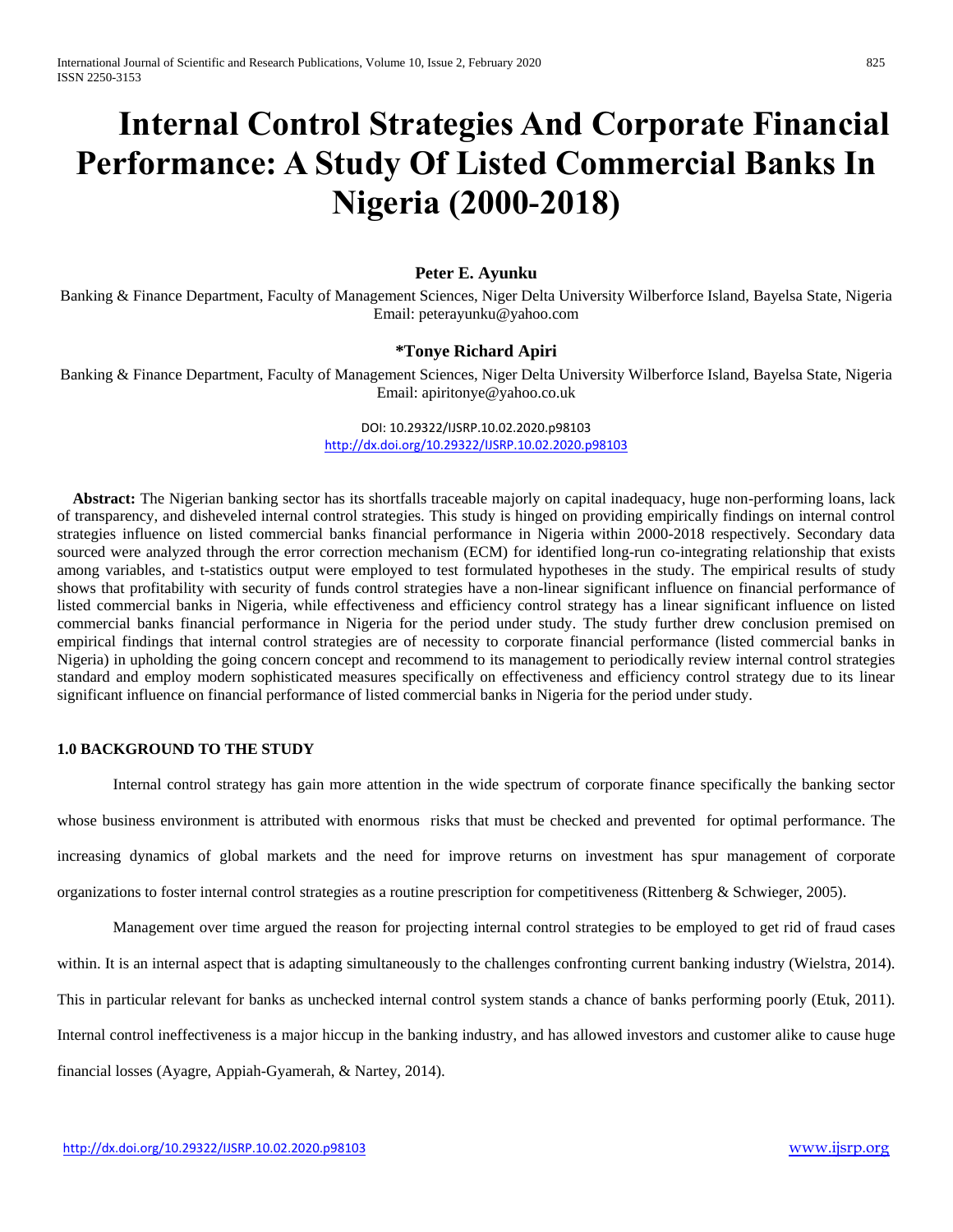# **Internal Control Strategies And Corporate Financial Performance: A Study Of Listed Commercial Banks In Nigeria (2000-2018)**

# **Peter E. Ayunku**

Banking & Finance Department, Faculty of Management Sciences, Niger Delta University Wilberforce Island, Bayelsa State, Nigeria Email: peterayunku@yahoo.com

## **\*Tonye Richard Apiri**

Banking & Finance Department, Faculty of Management Sciences, Niger Delta University Wilberforce Island, Bayelsa State, Nigeria Email: apiritonye@yahoo.co.uk

> DOI: 10.29322/IJSRP.10.02.2020.p98103 <http://dx.doi.org/10.29322/IJSRP.10.02.2020.p98103>

 **Abstract:** The Nigerian banking sector has its shortfalls traceable majorly on capital inadequacy, huge non-performing loans, lack of transparency, and disheveled internal control strategies. This study is hinged on providing empirically findings on internal control strategies influence on listed commercial banks financial performance in Nigeria within 2000-2018 respectively. Secondary data sourced were analyzed through the error correction mechanism (ECM) for identified long-run co-integrating relationship that exists among variables, and t-statistics output were employed to test formulated hypotheses in the study. The empirical results of study shows that profitability with security of funds control strategies have a non-linear significant influence on financial performance of listed commercial banks in Nigeria, while effectiveness and efficiency control strategy has a linear significant influence on listed commercial banks financial performance in Nigeria for the period under study. The study further drew conclusion premised on empirical findings that internal control strategies are of necessity to corporate financial performance (listed commercial banks in Nigeria) in upholding the going concern concept and recommend to its management to periodically review internal control strategies standard and employ modern sophisticated measures specifically on effectiveness and efficiency control strategy due to its linear significant influence on financial performance of listed commercial banks in Nigeria for the period under study.

## **1.0 BACKGROUND TO THE STUDY**

Internal control strategy has gain more attention in the wide spectrum of corporate finance specifically the banking sector whose business environment is attributed with enormous risks that must be checked and prevented for optimal performance. The increasing dynamics of global markets and the need for improve returns on investment has spur management of corporate organizations to foster internal control strategies as a routine prescription for competitiveness (Rittenberg & Schwieger, 2005).

Management over time argued the reason for projecting internal control strategies to be employed to get rid of fraud cases within. It is an internal aspect that is adapting simultaneously to the challenges confronting current banking industry (Wielstra, 2014). This in particular relevant for banks as unchecked internal control system stands a chance of banks performing poorly (Etuk, 2011). Internal control ineffectiveness is a major hiccup in the banking industry, and has allowed investors and customer alike to cause huge financial losses (Ayagre, Appiah-Gyamerah, & Nartey, 2014).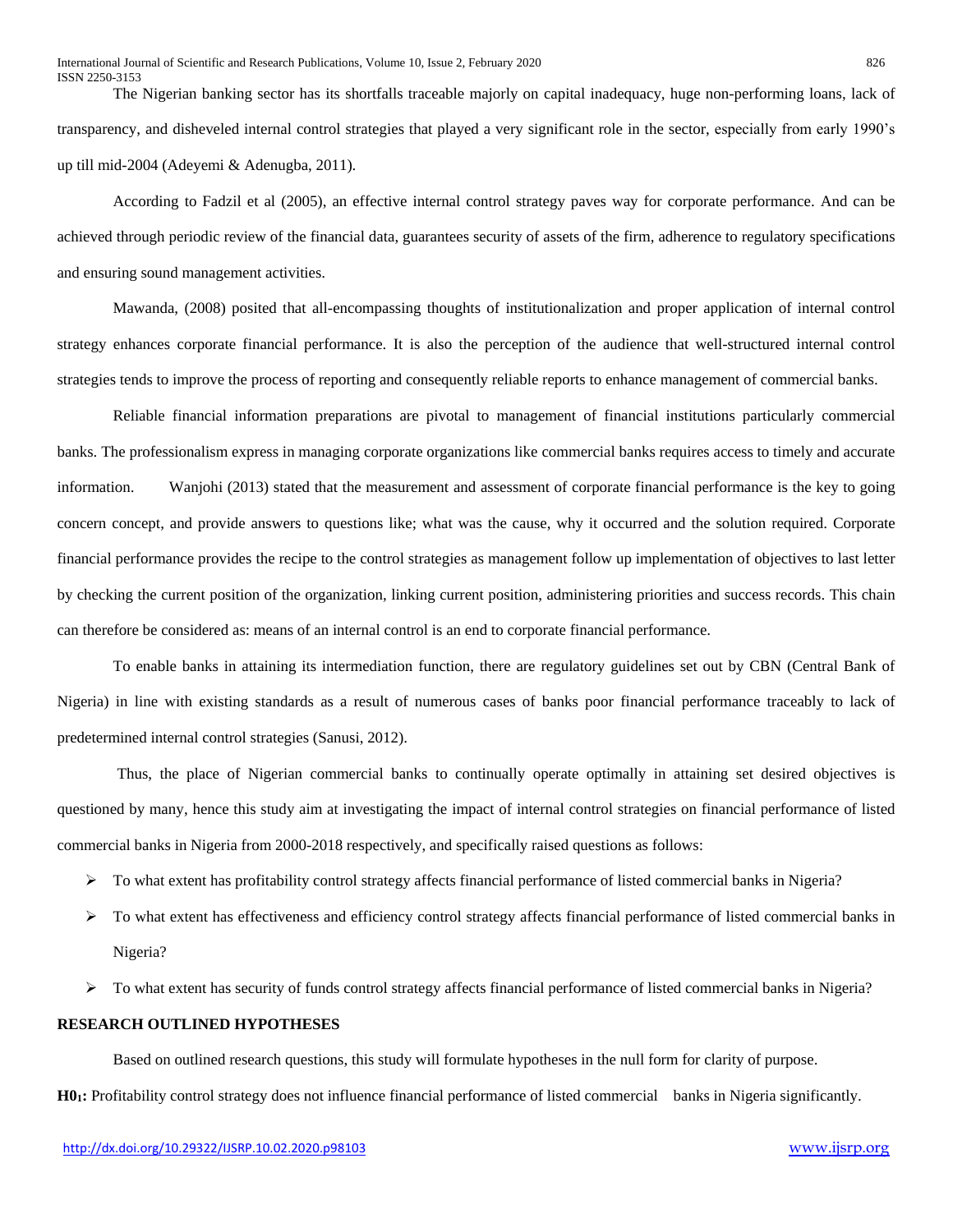The Nigerian banking sector has its shortfalls traceable majorly on capital inadequacy, huge non-performing loans, lack of transparency, and disheveled internal control strategies that played a very significant role in the sector, especially from early 1990's up till mid-2004 (Adeyemi & Adenugba, 2011).

According to Fadzil et al (2005), an effective internal control strategy paves way for corporate performance. And can be achieved through periodic review of the financial data, guarantees security of assets of the firm, adherence to regulatory specifications and ensuring sound management activities.

Mawanda, (2008) posited that all-encompassing thoughts of institutionalization and proper application of internal control strategy enhances corporate financial performance. It is also the perception of the audience that well-structured internal control strategies tends to improve the process of reporting and consequently reliable reports to enhance management of commercial banks.

Reliable financial information preparations are pivotal to management of financial institutions particularly commercial banks. The professionalism express in managing corporate organizations like commercial banks requires access to timely and accurate information. Wanjohi (2013) stated that the measurement and assessment of corporate financial performance is the key to going concern concept, and provide answers to questions like; what was the cause, why it occurred and the solution required. Corporate financial performance provides the recipe to the control strategies as management follow up implementation of objectives to last letter by checking the current position of the organization, linking current position, administering priorities and success records. This chain can therefore be considered as: means of an internal control is an end to corporate financial performance.

To enable banks in attaining its intermediation function, there are regulatory guidelines set out by CBN (Central Bank of Nigeria) in line with existing standards as a result of numerous cases of banks poor financial performance traceably to lack of predetermined internal control strategies (Sanusi, 2012).

Thus, the place of Nigerian commercial banks to continually operate optimally in attaining set desired objectives is questioned by many, hence this study aim at investigating the impact of internal control strategies on financial performance of listed commercial banks in Nigeria from 2000-2018 respectively, and specifically raised questions as follows:

- $\triangleright$  To what extent has profitability control strategy affects financial performance of listed commercial banks in Nigeria?
- $\triangleright$  To what extent has effectiveness and efficiency control strategy affects financial performance of listed commercial banks in Nigeria?
- $\triangleright$  To what extent has security of funds control strategy affects financial performance of listed commercial banks in Nigeria?

# **RESEARCH OUTLINED HYPOTHESES**

Based on outlined research questions, this study will formulate hypotheses in the null form for clarity of purpose. **H01:** Profitability control strategy does not influence financial performance of listed commercial banks in Nigeria significantly.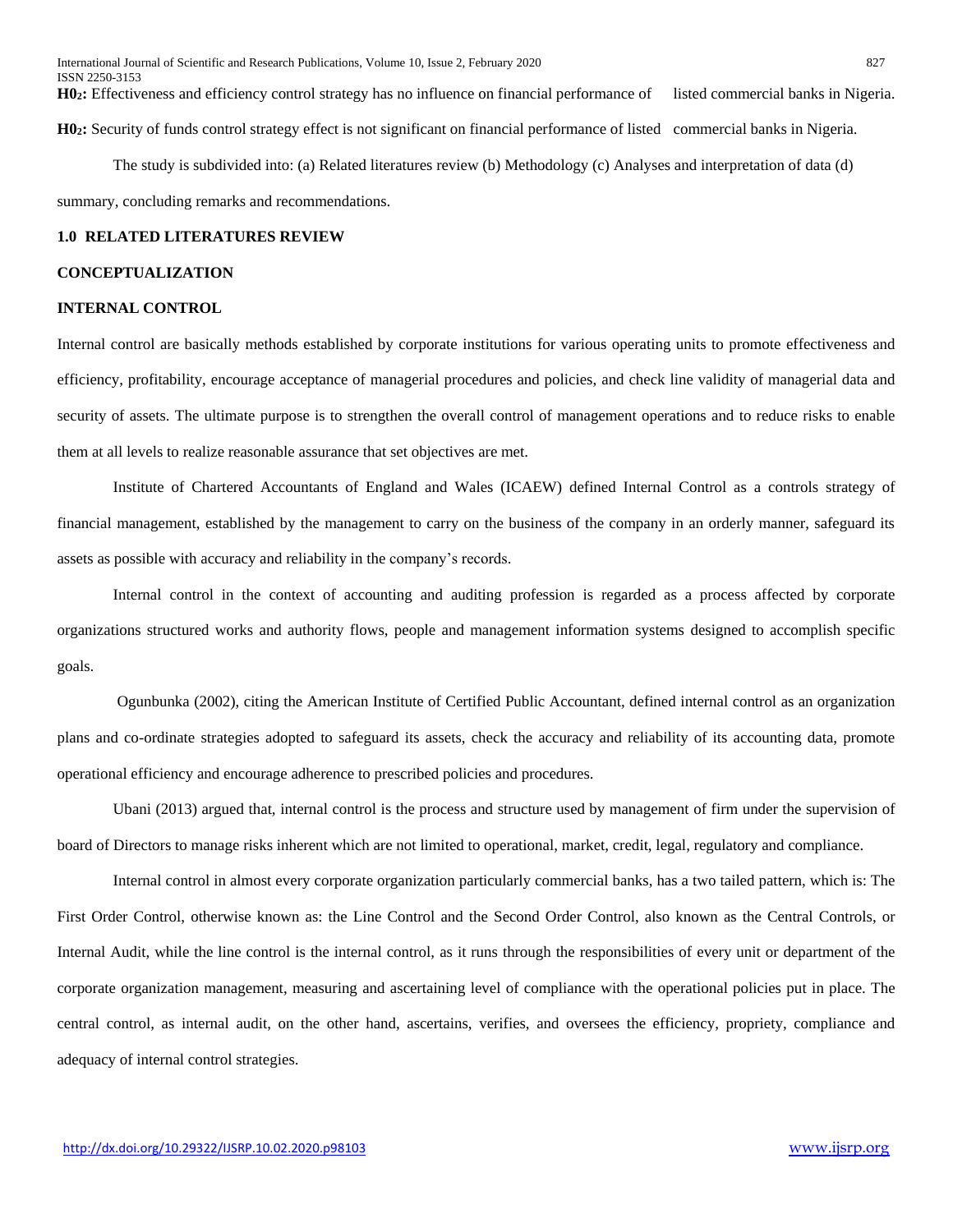**H02:** Effectiveness and efficiency control strategy has no influence on financial performance of listed commercial banks in Nigeria. **H02:** Security of funds control strategy effect is not significant on financial performance of listed commercial banks in Nigeria.

The study is subdivided into: (a) Related literatures review (b) Methodology (c) Analyses and interpretation of data (d) summary, concluding remarks and recommendations.

## **1.0 RELATED LITERATURES REVIEW**

## **CONCEPTUALIZATION**

## **INTERNAL CONTROL**

Internal control are basically methods established by corporate institutions for various operating units to promote effectiveness and efficiency, profitability, encourage acceptance of managerial procedures and policies, and check line validity of managerial data and security of assets. The ultimate purpose is to strengthen the overall control of management operations and to reduce risks to enable them at all levels to realize reasonable assurance that set objectives are met.

Institute of Chartered Accountants of England and Wales (ICAEW) defined Internal Control as a controls strategy of financial management, established by the management to carry on the business of the company in an orderly manner, safeguard its assets as possible with accuracy and reliability in the company's records.

Internal control in the context of accounting and auditing profession is regarded as a process affected by corporate organizations structured works and authority flows, people and management information systems designed to accomplish specific goals.

Ogunbunka (2002), citing the American Institute of Certified Public Accountant, defined internal control as an organization plans and co-ordinate strategies adopted to safeguard its assets, check the accuracy and reliability of its accounting data, promote operational efficiency and encourage adherence to prescribed policies and procedures.

Ubani (2013) argued that, internal control is the process and structure used by management of firm under the supervision of board of Directors to manage risks inherent which are not limited to operational, market, credit, legal, regulatory and compliance.

Internal control in almost every corporate organization particularly commercial banks, has a two tailed pattern, which is: The First Order Control, otherwise known as: the Line Control and the Second Order Control, also known as the Central Controls, or Internal Audit, while the line control is the internal control, as it runs through the responsibilities of every unit or department of the corporate organization management, measuring and ascertaining level of compliance with the operational policies put in place. The central control, as internal audit, on the other hand, ascertains, verifies, and oversees the efficiency, propriety, compliance and adequacy of internal control strategies.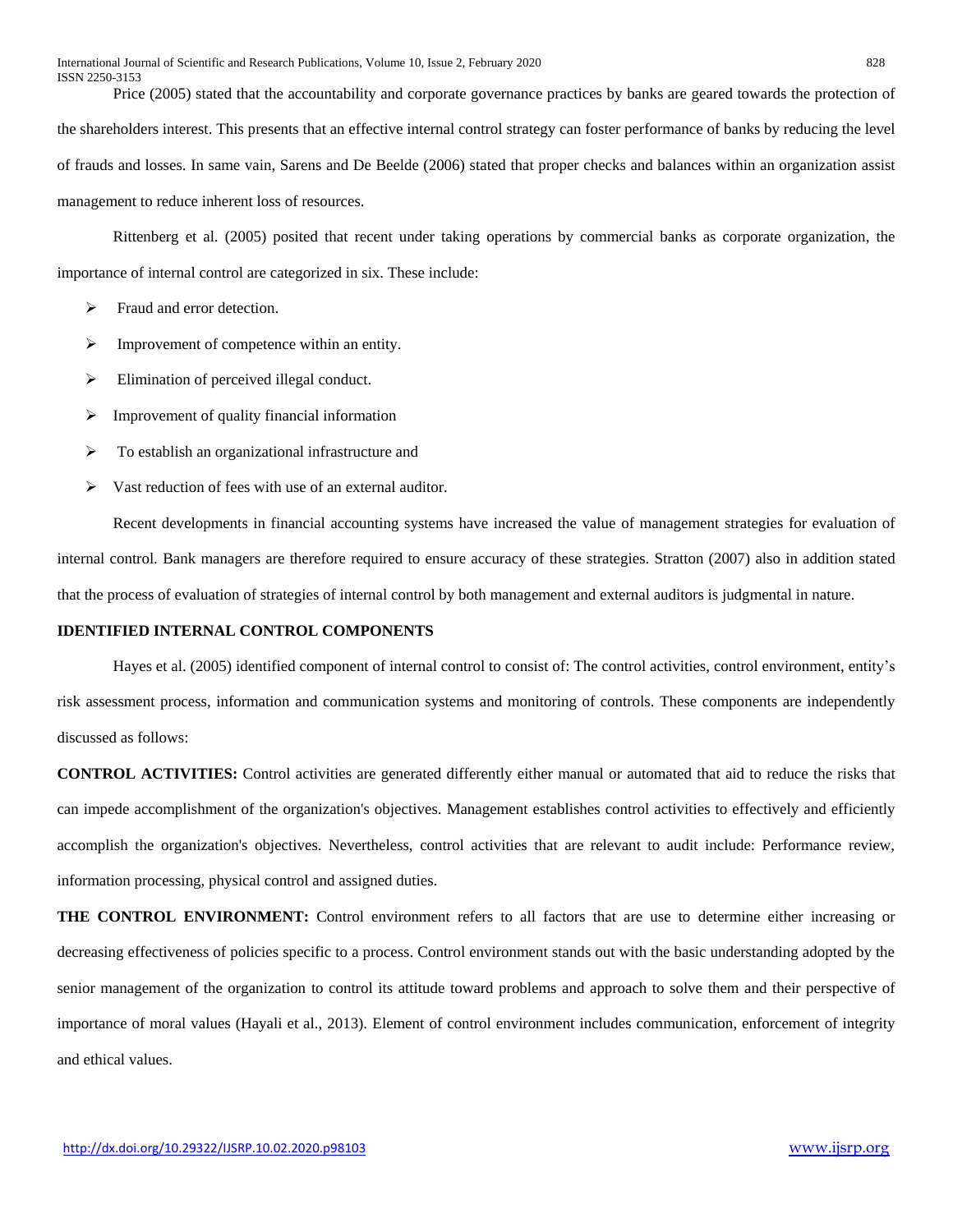Price (2005) stated that the accountability and corporate governance practices by banks are geared towards the protection of the shareholders interest. This presents that an effective internal control strategy can foster performance of banks by reducing the level of frauds and losses. In same vain, Sarens and De Beelde (2006) stated that proper checks and balances within an organization assist management to reduce inherent loss of resources.

Rittenberg et al. (2005) posited that recent under taking operations by commercial banks as corporate organization, the importance of internal control are categorized in six. These include:

- Fraud and error detection.
- $\triangleright$  Improvement of competence within an entity.
- $\triangleright$  Elimination of perceived illegal conduct.
- $\triangleright$  Improvement of quality financial information
- $\triangleright$  To establish an organizational infrastructure and
- $\triangleright$  Vast reduction of fees with use of an external auditor.

Recent developments in financial accounting systems have increased the value of management strategies for evaluation of internal control. Bank managers are therefore required to ensure accuracy of these strategies. Stratton (2007) also in addition stated that the process of evaluation of strategies of internal control by both management and external auditors is judgmental in nature.

## **IDENTIFIED INTERNAL CONTROL COMPONENTS**

Hayes et al. (2005) identified component of internal control to consist of: The control activities, control environment, entity's risk assessment process, information and communication systems and monitoring of controls. These components are independently discussed as follows:

**CONTROL ACTIVITIES:** Control activities are generated differently either manual or automated that aid to reduce the risks that can impede accomplishment of the organization's objectives. Management establishes control activities to effectively and efficiently accomplish the organization's objectives. Nevertheless, control activities that are relevant to audit include: Performance review, information processing, physical control and assigned duties.

**THE CONTROL ENVIRONMENT:** Control environment refers to all factors that are use to determine either increasing or decreasing effectiveness of policies specific to a process. Control environment stands out with the basic understanding adopted by the senior management of the organization to control its attitude toward problems and approach to solve them and their perspective of importance of moral values (Hayali et al., 2013). Element of control environment includes communication, enforcement of integrity and ethical values.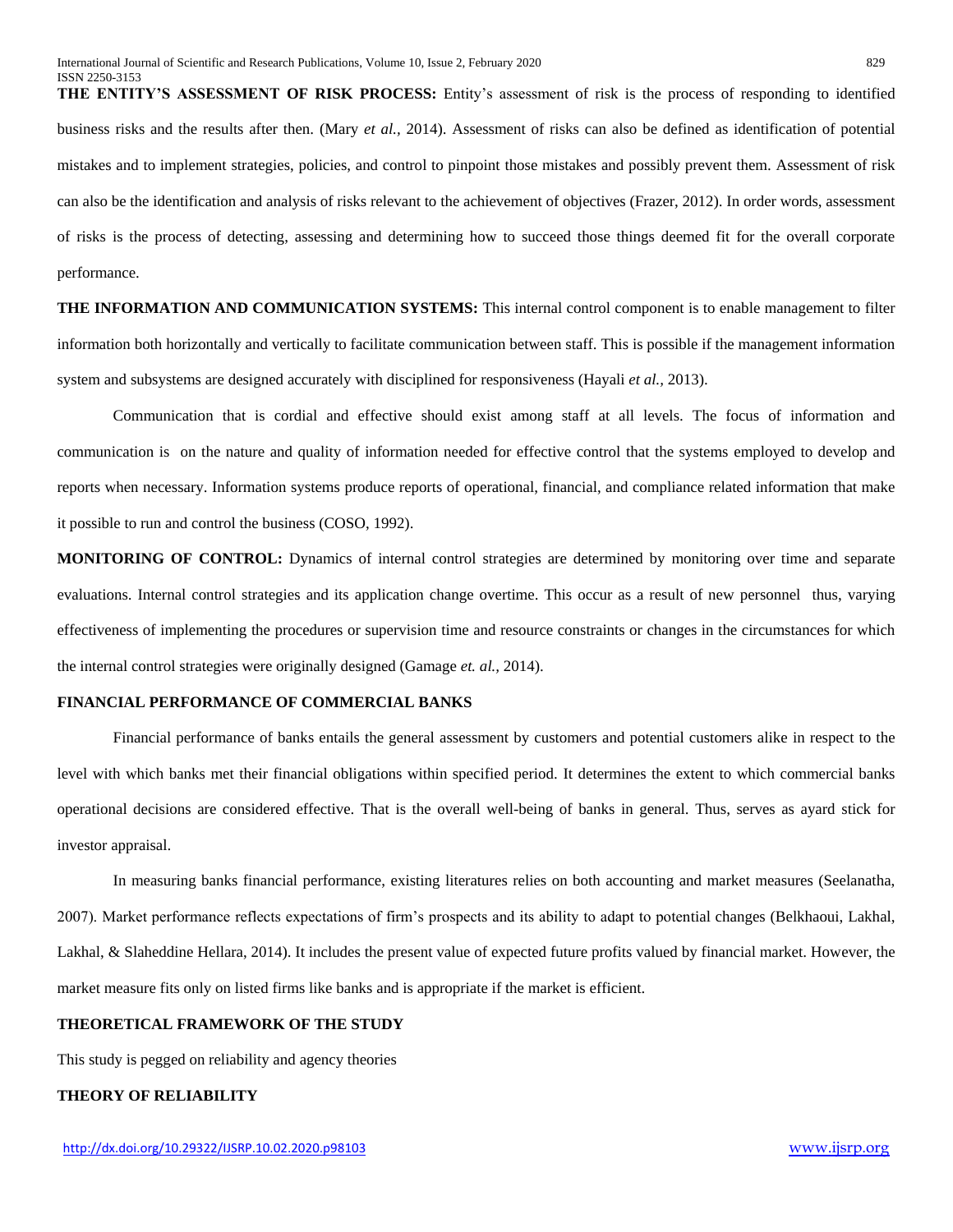**THE ENTITY'S ASSESSMENT OF RISK PROCESS:** Entity's assessment of risk is the process of responding to identified business risks and the results after then. (Mary *et al.,* 2014). Assessment of risks can also be defined as identification of potential mistakes and to implement strategies, policies, and control to pinpoint those mistakes and possibly prevent them. Assessment of risk can also be the identification and analysis of risks relevant to the achievement of objectives (Frazer, 2012). In order words, assessment of risks is the process of detecting, assessing and determining how to succeed those things deemed fit for the overall corporate performance.

**THE INFORMATION AND COMMUNICATION SYSTEMS:** This internal control component is to enable management to filter information both horizontally and vertically to facilitate communication between staff. This is possible if the management information system and subsystems are designed accurately with disciplined for responsiveness (Hayali *et al.,* 2013).

Communication that is cordial and effective should exist among staff at all levels. The focus of information and communication is on the nature and quality of information needed for effective control that the systems employed to develop and reports when necessary. Information systems produce reports of operational, financial, and compliance related information that make it possible to run and control the business (COSO, 1992).

**MONITORING OF CONTROL:** Dynamics of internal control strategies are determined by monitoring over time and separate evaluations. Internal control strategies and its application change overtime. This occur as a result of new personnel thus, varying effectiveness of implementing the procedures or supervision time and resource constraints or changes in the circumstances for which the internal control strategies were originally designed (Gamage *et. al.,* 2014).

## **FINANCIAL PERFORMANCE OF COMMERCIAL BANKS**

Financial performance of banks entails the general assessment by customers and potential customers alike in respect to the level with which banks met their financial obligations within specified period. It determines the extent to which commercial banks operational decisions are considered effective. That is the overall well-being of banks in general. Thus, serves as ayard stick for investor appraisal.

In measuring banks financial performance, existing literatures relies on both accounting and market measures (Seelanatha, 2007). Market performance reflects expectations of firm's prospects and its ability to adapt to potential changes (Belkhaoui, Lakhal, Lakhal, & Slaheddine Hellara, 2014). It includes the present value of expected future profits valued by financial market. However, the market measure fits only on listed firms like banks and is appropriate if the market is efficient.

## **THEORETICAL FRAMEWORK OF THE STUDY**

This study is pegged on reliability and agency theories

#### **THEORY OF RELIABILITY**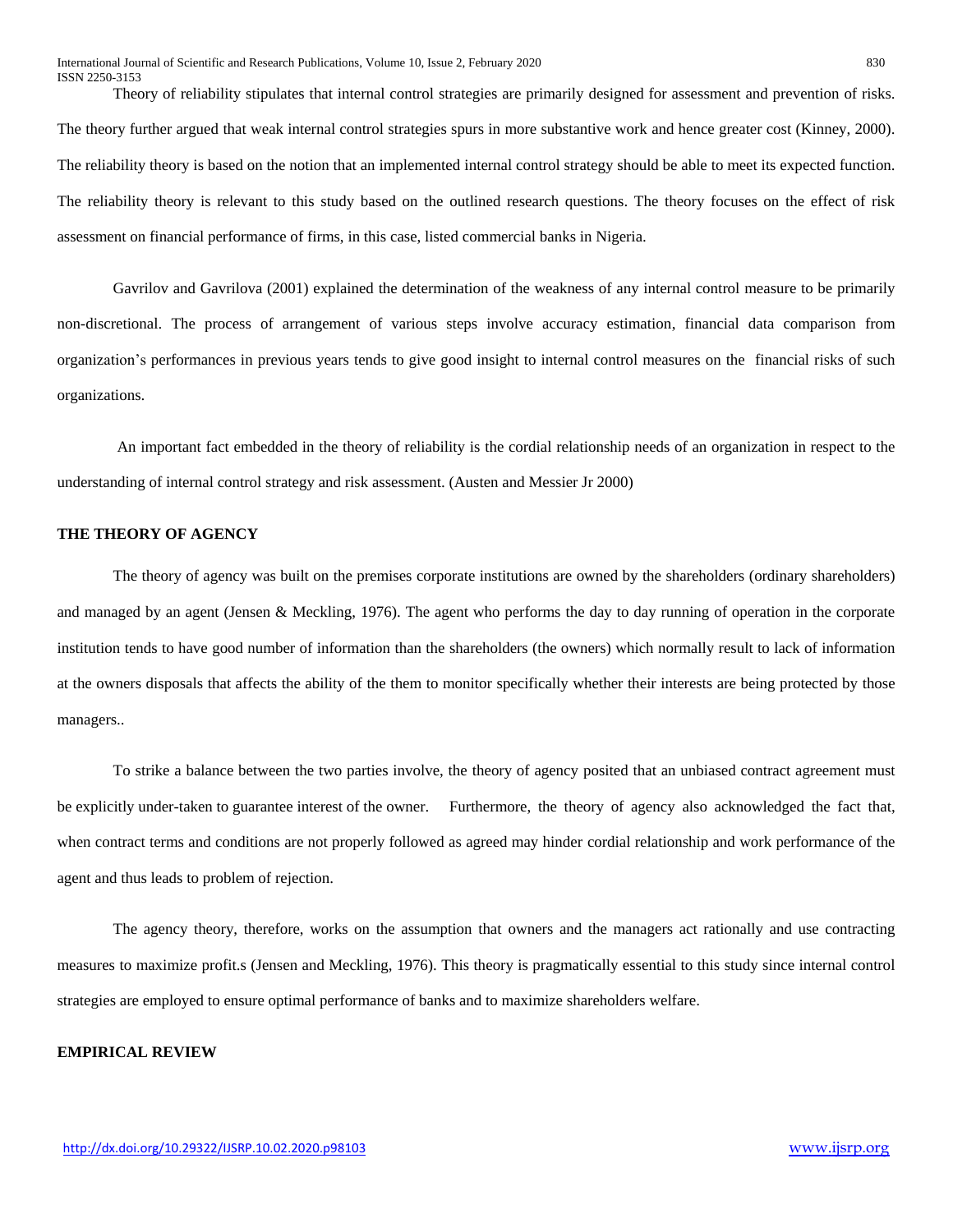Theory of reliability stipulates that internal control strategies are primarily designed for assessment and prevention of risks. The theory further argued that weak internal control strategies spurs in more substantive work and hence greater cost (Kinney, 2000). The reliability theory is based on the notion that an implemented internal control strategy should be able to meet its expected function. The reliability theory is relevant to this study based on the outlined research questions. The theory focuses on the effect of risk assessment on financial performance of firms, in this case, listed commercial banks in Nigeria.

Gavrilov and Gavrilova (2001) explained the determination of the weakness of any internal control measure to be primarily non-discretional. The process of arrangement of various steps involve accuracy estimation, financial data comparison from organization's performances in previous years tends to give good insight to internal control measures on the financial risks of such organizations.

An important fact embedded in the theory of reliability is the cordial relationship needs of an organization in respect to the understanding of internal control strategy and risk assessment. (Austen and Messier Jr 2000)

## **THE THEORY OF AGENCY**

The theory of agency was built on the premises corporate institutions are owned by the shareholders (ordinary shareholders) and managed by an agent (Jensen & Meckling, 1976). The agent who performs the day to day running of operation in the corporate institution tends to have good number of information than the shareholders (the owners) which normally result to lack of information at the owners disposals that affects the ability of the them to monitor specifically whether their interests are being protected by those managers..

To strike a balance between the two parties involve, the theory of agency posited that an unbiased contract agreement must be explicitly under-taken to guarantee interest of the owner. Furthermore, the theory of agency also acknowledged the fact that, when contract terms and conditions are not properly followed as agreed may hinder cordial relationship and work performance of the agent and thus leads to problem of rejection.

The agency theory, therefore, works on the assumption that owners and the managers act rationally and use contracting measures to maximize profit.s (Jensen and Meckling, 1976). This theory is pragmatically essential to this study since internal control strategies are employed to ensure optimal performance of banks and to maximize shareholders welfare.

## **EMPIRICAL REVIEW**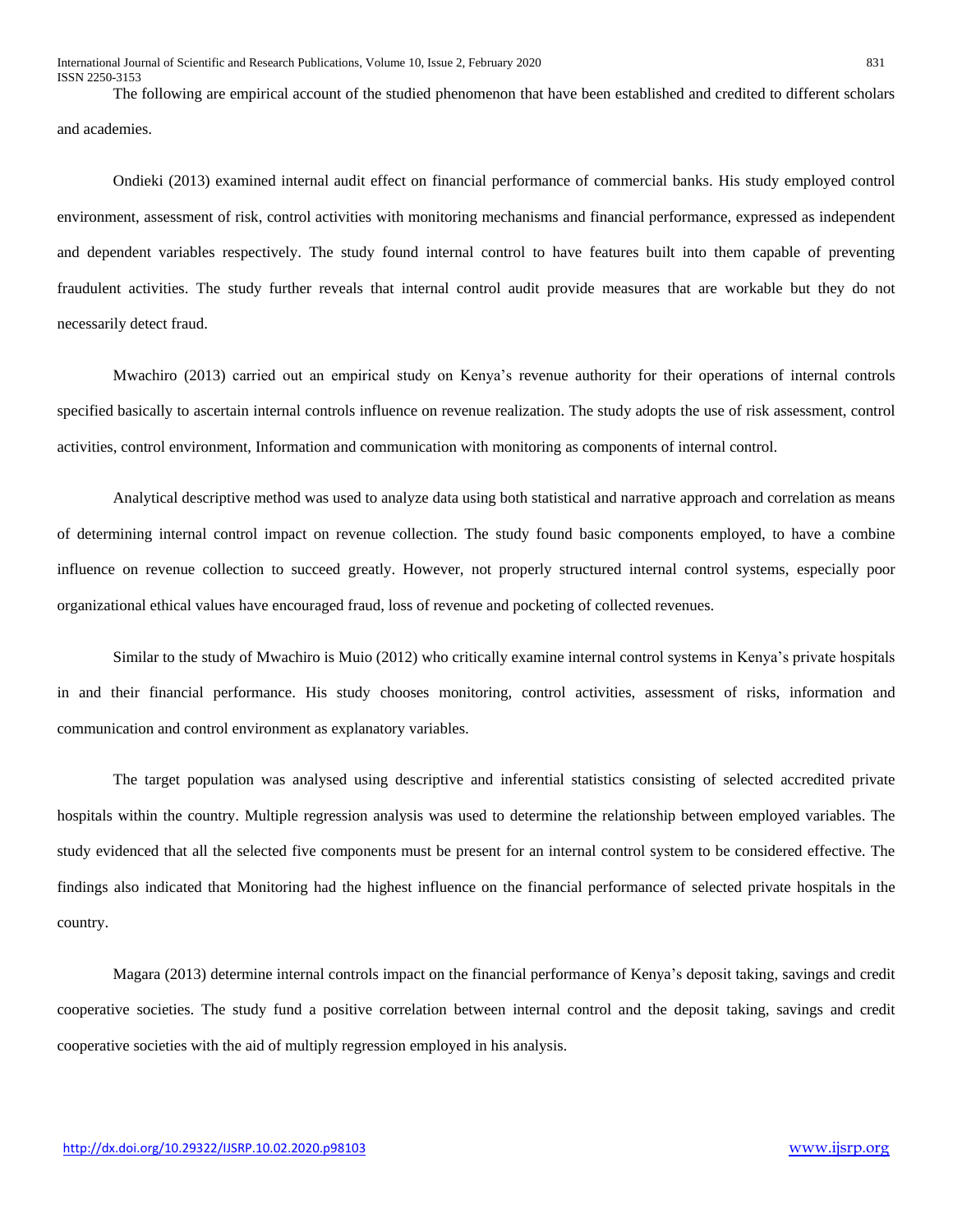International Journal of Scientific and Research Publications, Volume 10, Issue 2, February 2020 831 ISSN 2250-3153

The following are empirical account of the studied phenomenon that have been established and credited to different scholars and academies.

Ondieki (2013) examined internal audit effect on financial performance of commercial banks. His study employed control environment, assessment of risk, control activities with monitoring mechanisms and financial performance, expressed as independent and dependent variables respectively. The study found internal control to have features built into them capable of preventing fraudulent activities. The study further reveals that internal control audit provide measures that are workable but they do not necessarily detect fraud.

Mwachiro (2013) carried out an empirical study on Kenya's revenue authority for their operations of internal controls specified basically to ascertain internal controls influence on revenue realization. The study adopts the use of risk assessment, control activities, control environment, Information and communication with monitoring as components of internal control.

Analytical descriptive method was used to analyze data using both statistical and narrative approach and correlation as means of determining internal control impact on revenue collection. The study found basic components employed, to have a combine influence on revenue collection to succeed greatly. However, not properly structured internal control systems, especially poor organizational ethical values have encouraged fraud, loss of revenue and pocketing of collected revenues.

Similar to the study of Mwachiro is Muio (2012) who critically examine internal control systems in Kenya's private hospitals in and their financial performance. His study chooses monitoring, control activities, assessment of risks, information and communication and control environment as explanatory variables.

The target population was analysed using descriptive and inferential statistics consisting of selected accredited private hospitals within the country. Multiple regression analysis was used to determine the relationship between employed variables. The study evidenced that all the selected five components must be present for an internal control system to be considered effective. The findings also indicated that Monitoring had the highest influence on the financial performance of selected private hospitals in the country.

Magara (2013) determine internal controls impact on the financial performance of Kenya's deposit taking, savings and credit cooperative societies. The study fund a positive correlation between internal control and the deposit taking, savings and credit cooperative societies with the aid of multiply regression employed in his analysis.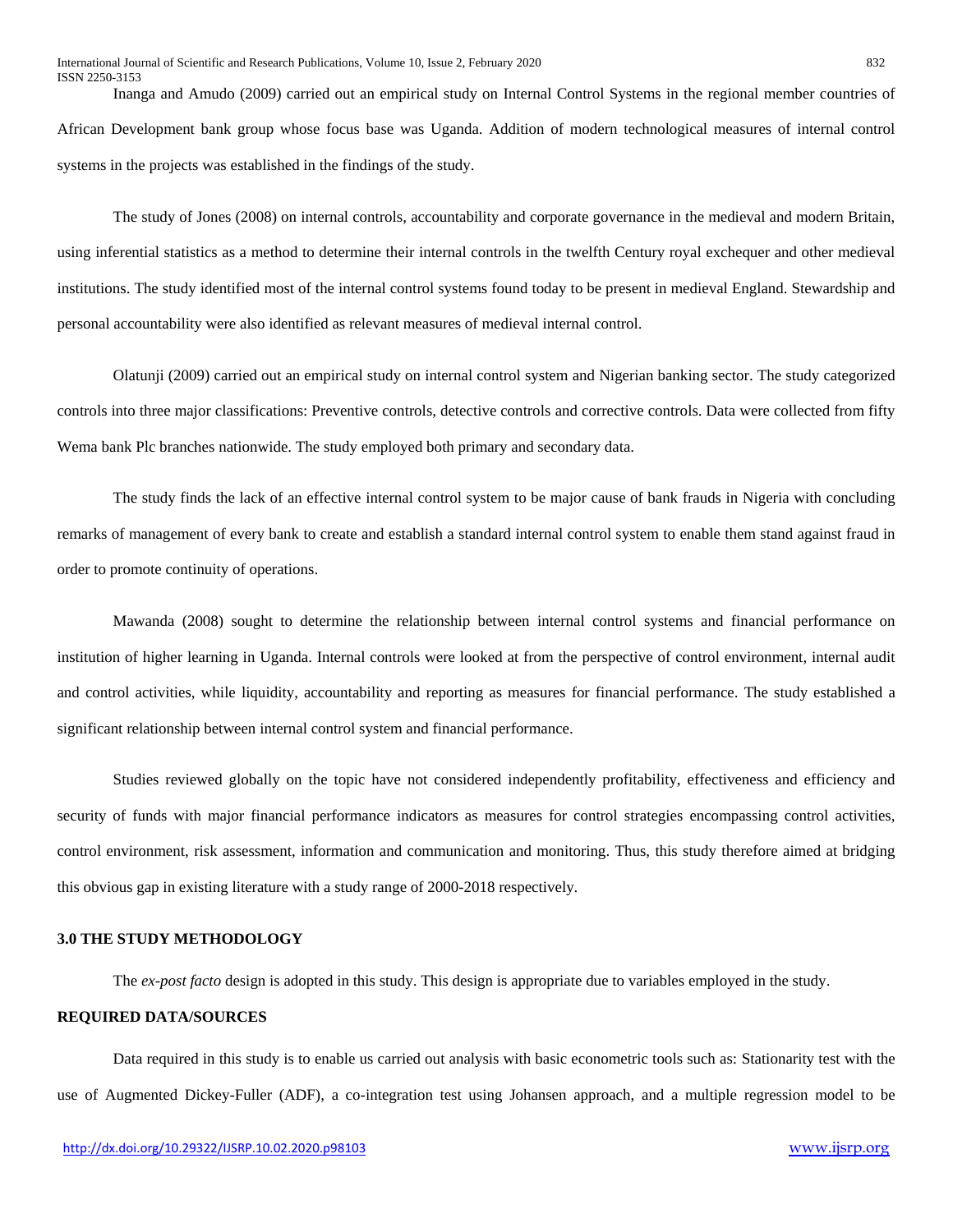Inanga and Amudo (2009) carried out an empirical study on Internal Control Systems in the regional member countries of African Development bank group whose focus base was Uganda. Addition of modern technological measures of internal control systems in the projects was established in the findings of the study.

The study of Jones (2008) on internal controls, accountability and corporate governance in the medieval and modern Britain, using inferential statistics as a method to determine their internal controls in the twelfth Century royal exchequer and other medieval institutions. The study identified most of the internal control systems found today to be present in medieval England. Stewardship and personal accountability were also identified as relevant measures of medieval internal control.

Olatunji (2009) carried out an empirical study on internal control system and Nigerian banking sector. The study categorized controls into three major classifications: Preventive controls, detective controls and corrective controls. Data were collected from fifty Wema bank Plc branches nationwide. The study employed both primary and secondary data.

The study finds the lack of an effective internal control system to be major cause of bank frauds in Nigeria with concluding remarks of management of every bank to create and establish a standard internal control system to enable them stand against fraud in order to promote continuity of operations.

Mawanda (2008) sought to determine the relationship between internal control systems and financial performance on institution of higher learning in Uganda. Internal controls were looked at from the perspective of control environment, internal audit and control activities, while liquidity, accountability and reporting as measures for financial performance. The study established a significant relationship between internal control system and financial performance.

Studies reviewed globally on the topic have not considered independently profitability, effectiveness and efficiency and security of funds with major financial performance indicators as measures for control strategies encompassing control activities, control environment, risk assessment, information and communication and monitoring. Thus, this study therefore aimed at bridging this obvious gap in existing literature with a study range of 2000-2018 respectively.

## **3.0 THE STUDY METHODOLOGY**

The *ex-post facto* design is adopted in this study. This design is appropriate due to variables employed in the study.

## **REQUIRED DATA/SOURCES**

Data required in this study is to enable us carried out analysis with basic econometric tools such as: Stationarity test with the use of Augmented Dickey-Fuller (ADF), a co-integration test using Johansen approach, and a multiple regression model to be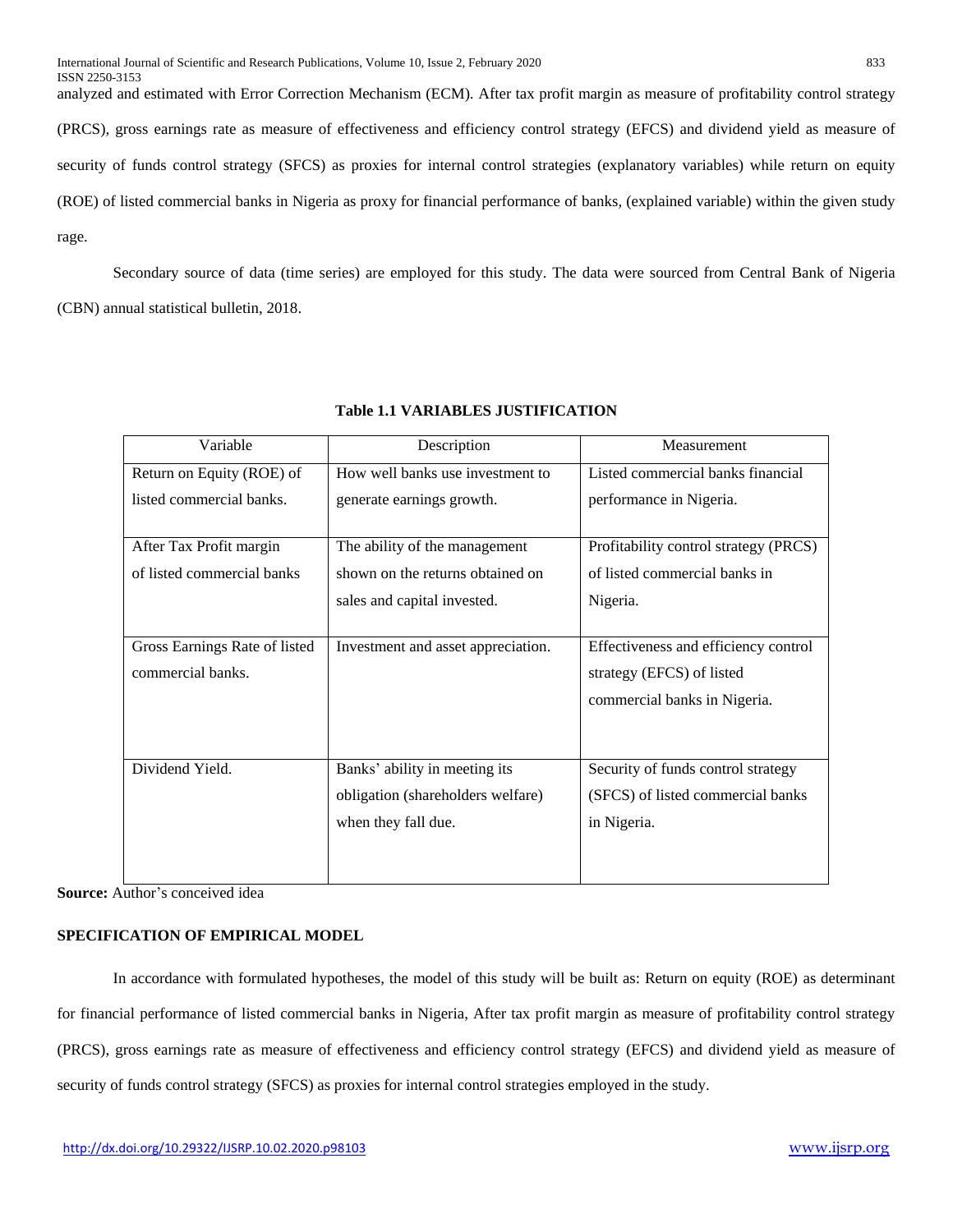analyzed and estimated with Error Correction Mechanism (ECM). After tax profit margin as measure of profitability control strategy (PRCS), gross earnings rate as measure of effectiveness and efficiency control strategy (EFCS) and dividend yield as measure of security of funds control strategy (SFCS) as proxies for internal control strategies (explanatory variables) while return on equity (ROE) of listed commercial banks in Nigeria as proxy for financial performance of banks, (explained variable) within the given study rage.

Secondary source of data (time series) are employed for this study. The data were sourced from Central Bank of Nigeria (CBN) annual statistical bulletin, 2018.

| Variable                      | Description                        | Measurement                           |
|-------------------------------|------------------------------------|---------------------------------------|
| Return on Equity (ROE) of     | How well banks use investment to   | Listed commercial banks financial     |
| listed commercial banks.      | generate earnings growth.          | performance in Nigeria.               |
|                               |                                    |                                       |
| After Tax Profit margin       | The ability of the management      | Profitability control strategy (PRCS) |
| of listed commercial banks    | shown on the returns obtained on   | of listed commercial banks in         |
|                               | sales and capital invested.        | Nigeria.                              |
|                               |                                    |                                       |
| Gross Earnings Rate of listed | Investment and asset appreciation. | Effectiveness and efficiency control  |
| commercial banks.             |                                    | strategy (EFCS) of listed             |
|                               |                                    | commercial banks in Nigeria.          |
|                               |                                    |                                       |
|                               |                                    |                                       |
| Dividend Yield.               | Banks' ability in meeting its      | Security of funds control strategy    |
|                               | obligation (shareholders welfare)  | (SFCS) of listed commercial banks     |
|                               | when they fall due.                | in Nigeria.                           |
|                               |                                    |                                       |
|                               |                                    |                                       |

# **Table 1.1 VARIABLES JUSTIFICATION**

**Source:** Author's conceived idea

# **SPECIFICATION OF EMPIRICAL MODEL**

In accordance with formulated hypotheses, the model of this study will be built as: Return on equity (ROE) as determinant for financial performance of listed commercial banks in Nigeria, After tax profit margin as measure of profitability control strategy (PRCS), gross earnings rate as measure of effectiveness and efficiency control strategy (EFCS) and dividend yield as measure of security of funds control strategy (SFCS) as proxies for internal control strategies employed in the study.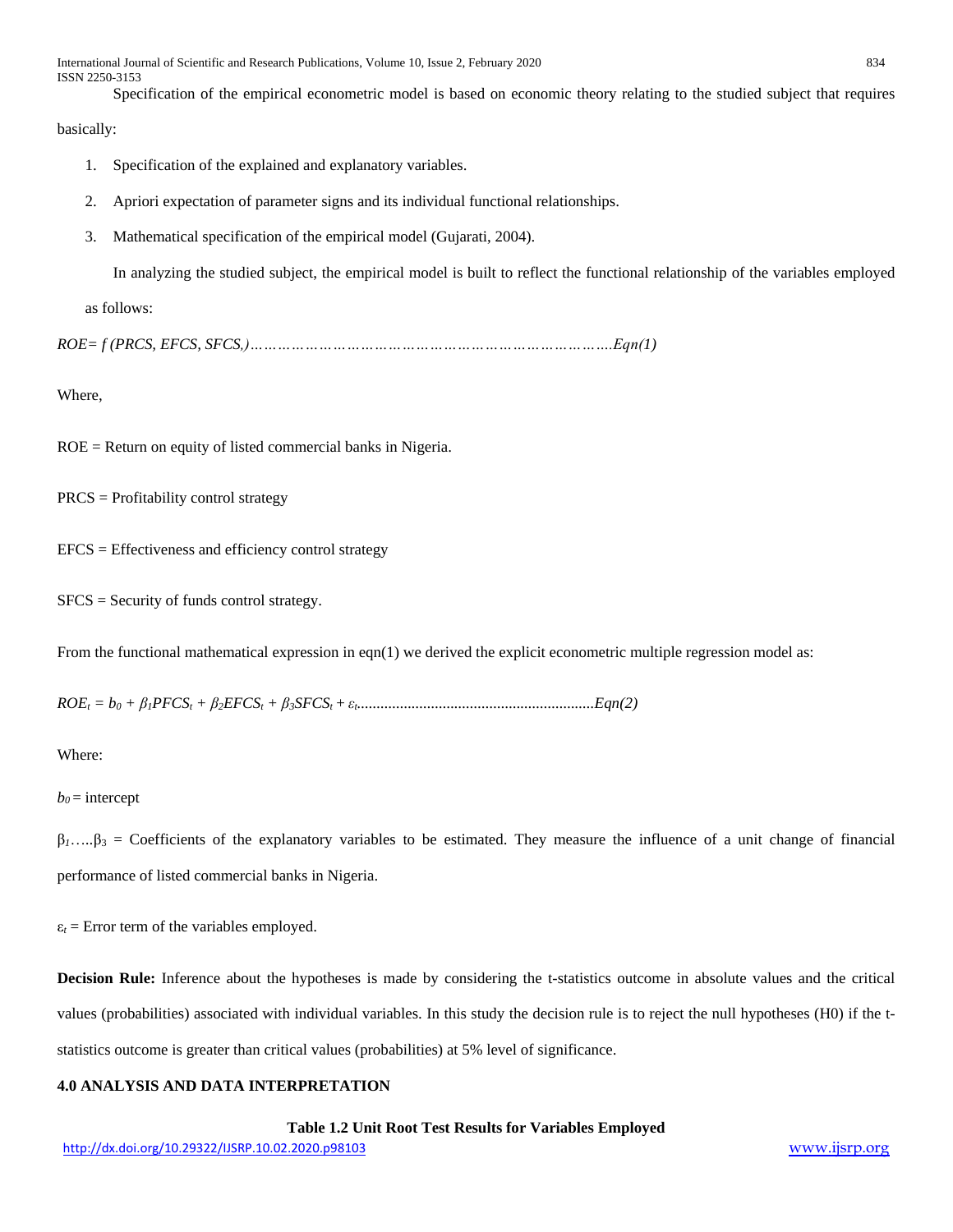International Journal of Scientific and Research Publications, Volume 10, Issue 2, February 2020 834 ISSN 2250-3153

Specification of the empirical econometric model is based on economic theory relating to the studied subject that requires

basically:

- 1. Specification of the explained and explanatory variables.
- 2. Apriori expectation of parameter signs and its individual functional relationships.
- 3. Mathematical specification of the empirical model (Gujarati, 2004).

In analyzing the studied subject, the empirical model is built to reflect the functional relationship of the variables employed

as follows:

*ROE= f (PRCS, EFCS, SFCS,)…………………………………………………………………….Eqn(1)*

Where,

ROE = Return on equity of listed commercial banks in Nigeria.

PRCS = Profitability control strategy

 $EFCS = Effectiveness$  and efficiency control strategy

 $SFCS = Security of funds control strategy.$ 

From the functional mathematical expression in eqn(1) we derived the explicit econometric multiple regression model as:

*ROE<sup>t</sup> = b<sup>0</sup> + β1PFCS<sup>t</sup> + β2EFCS<sup>t</sup> + β3SFCSt +εt.............................................................Eqn(2)*

Where:

 $b<sub>0</sub>$  = intercept

 $\beta_1$ ...., $\beta_3$  = Coefficients of the explanatory variables to be estimated. They measure the influence of a unit change of financial performance of listed commercial banks in Nigeria.

 $\varepsilon_t$  = Error term of the variables employed.

**Decision Rule:** Inference about the hypotheses is made by considering the t-statistics outcome in absolute values and the critical values (probabilities) associated with individual variables. In this study the decision rule is to reject the null hypotheses (H0) if the tstatistics outcome is greater than critical values (probabilities) at 5% level of significance.

# **4.0 ANALYSIS AND DATA INTERPRETATION**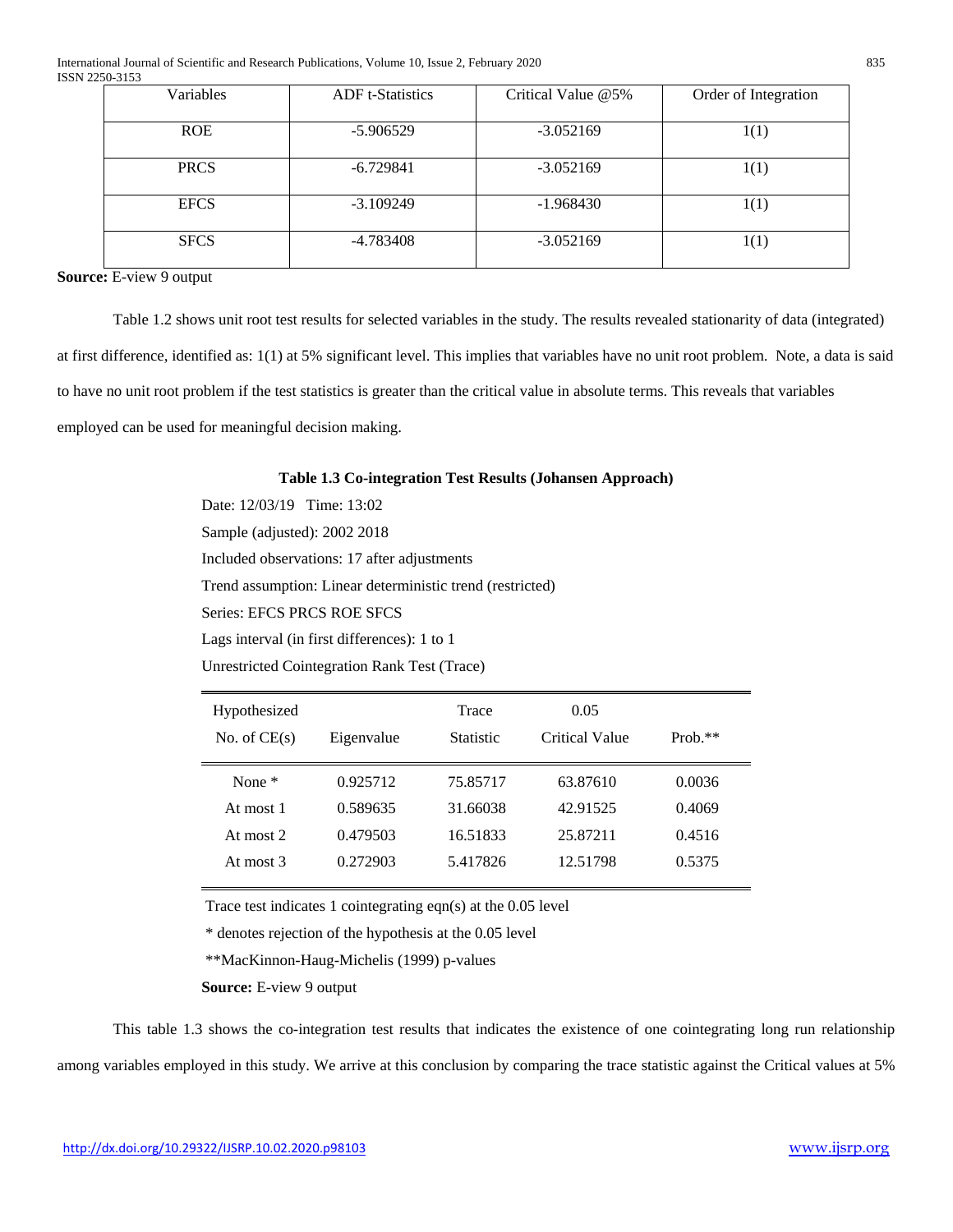| Variables   | <b>ADF</b> t-Statistics | Critical Value @5% | Order of Integration |
|-------------|-------------------------|--------------------|----------------------|
| <b>ROE</b>  | $-5.906529$             | $-3.052169$        | 1(1)                 |
| <b>PRCS</b> | $-6.729841$             | $-3.052169$        | 1(1)                 |
| <b>EFCS</b> | $-3.109249$             | $-1.968430$        | 1(1)                 |
| <b>SFCS</b> | $-4.783408$             | $-3.052169$        | 1(1)                 |

**Source:** E-view 9 output

Table 1.2 shows unit root test results for selected variables in the study. The results revealed stationarity of data (integrated) at first difference, identified as: 1(1) at 5% significant level. This implies that variables have no unit root problem. Note, a data is said to have no unit root problem if the test statistics is greater than the critical value in absolute terms. This reveals that variables employed can be used for meaningful decision making.

## **Table 1.3 Co-integration Test Results (Johansen Approach)**

Date: 12/03/19 Time: 13:02 Sample (adjusted): 2002 2018 Included observations: 17 after adjustments Trend assumption: Linear deterministic trend (restricted) Series: EFCS PRCS ROE SFCS Lags interval (in first differences): 1 to 1

Unrestricted Cointegration Rank Test (Trace)

| Hypothesized<br>No. of $CE(s)$ | Eigenvalue | Trace<br>Statistic | 0.05<br>Critical Value | $Prob.**$ |
|--------------------------------|------------|--------------------|------------------------|-----------|
| None $*$                       | 0.925712   | 75.85717           | 63.87610               | 0.0036    |
| At most 1                      | 0.589635   | 31.66038           | 42.91525               | 0.4069    |
| At most 2                      | 0.479503   | 16.51833           | 25.87211               | 0.4516    |
| At most $3$                    | 0.272903   | 5.417826           | 12.51798               | 0.5375    |

Trace test indicates 1 cointegrating eqn(s) at the 0.05 level

\* denotes rejection of the hypothesis at the 0.05 level

\*\*MacKinnon-Haug-Michelis (1999) p-values

**Source:** E-view 9 output

This table 1.3 shows the co-integration test results that indicates the existence of one cointegrating long run relationship among variables employed in this study. We arrive at this conclusion by comparing the trace statistic against the Critical values at 5%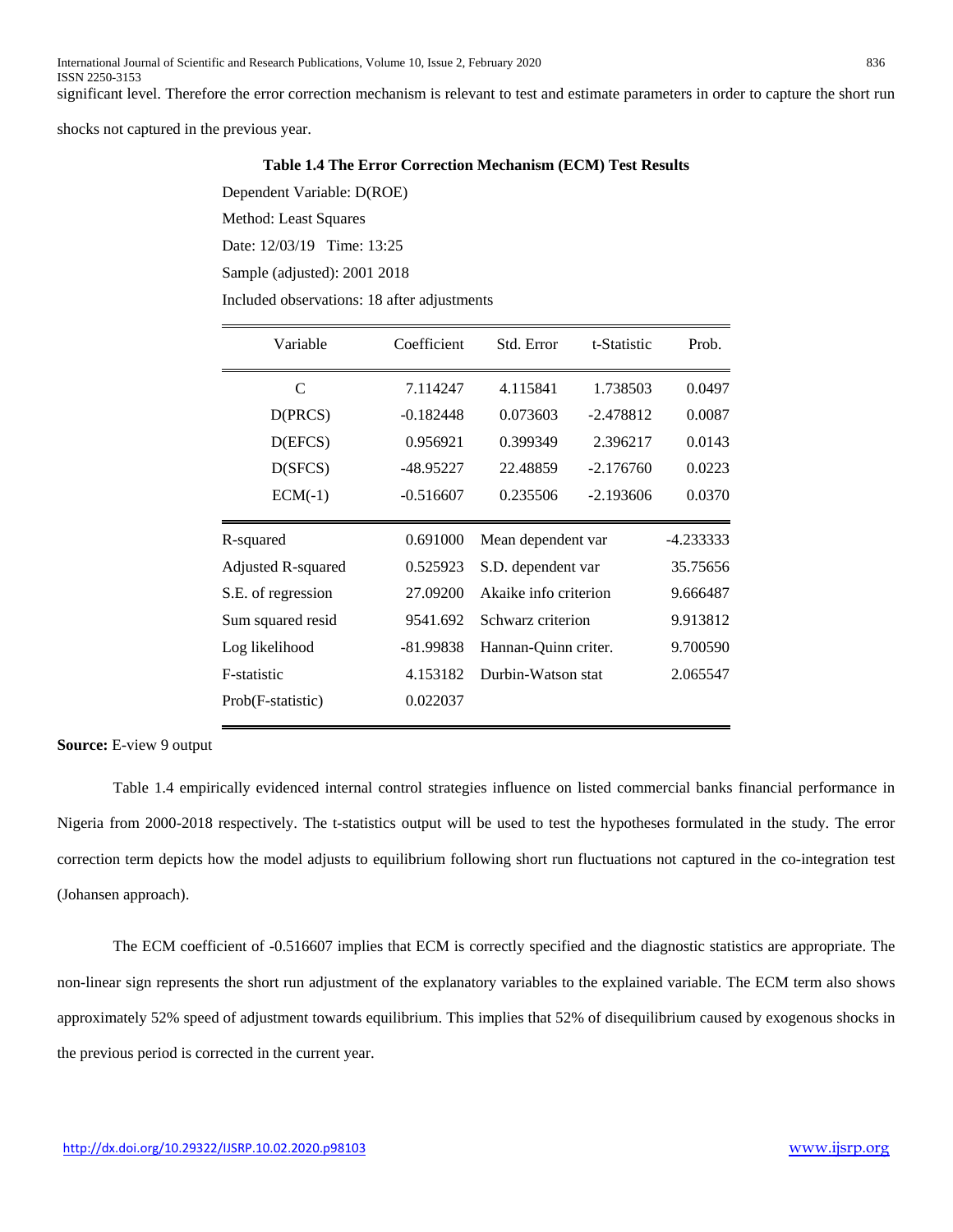shocks not captured in the previous year.

#### **Table 1.4 The Error Correction Mechanism (ECM) Test Results**

Dependent Variable: D(ROE) Method: Least Squares

Date: 12/03/19 Time: 13:25

Sample (adjusted): 2001 2018

Included observations: 18 after adjustments

| Variable           | Coefficient | Std. Error            | t-Statistic | Prob.     |
|--------------------|-------------|-----------------------|-------------|-----------|
| C                  | 7.114247    | 4.115841              | 1.738503    | 0.0497    |
| D(PRCS)            | $-0.182448$ | 0.073603              | $-2.478812$ | 0.0087    |
| D(EFCS)            | 0.956921    | 0.399349              | 2.396217    | 0.0143    |
| D(SFCS)            | -48.95227   | 22.48859              | $-2.176760$ | 0.0223    |
| $ECM(-1)$          | $-0.516607$ | 0.235506              | $-2.193606$ | 0.0370    |
| R-squared          | 0.691000    | Mean dependent var    |             | -4.233333 |
| Adjusted R-squared | 0.525923    | S.D. dependent var    |             | 35.75656  |
| S.E. of regression | 27.09200    | Akaike info criterion |             | 9.666487  |
| Sum squared resid  | 9541.692    | Schwarz criterion     |             | 9.913812  |
| Log likelihood     | $-81.99838$ | Hannan-Quinn criter.  |             | 9.700590  |
| F-statistic        | 4.153182    | Durbin-Watson stat    |             | 2.065547  |
| Prob(F-statistic)  | 0.022037    |                       |             |           |

**Source:** E-view 9 output

Table 1.4 empirically evidenced internal control strategies influence on listed commercial banks financial performance in Nigeria from 2000-2018 respectively. The t-statistics output will be used to test the hypotheses formulated in the study. The error correction term depicts how the model adjusts to equilibrium following short run fluctuations not captured in the co-integration test (Johansen approach).

The ECM coefficient of -0.516607 implies that ECM is correctly specified and the diagnostic statistics are appropriate. The non-linear sign represents the short run adjustment of the explanatory variables to the explained variable. The ECM term also shows approximately 52% speed of adjustment towards equilibrium. This implies that 52% of disequilibrium caused by exogenous shocks in the previous period is corrected in the current year.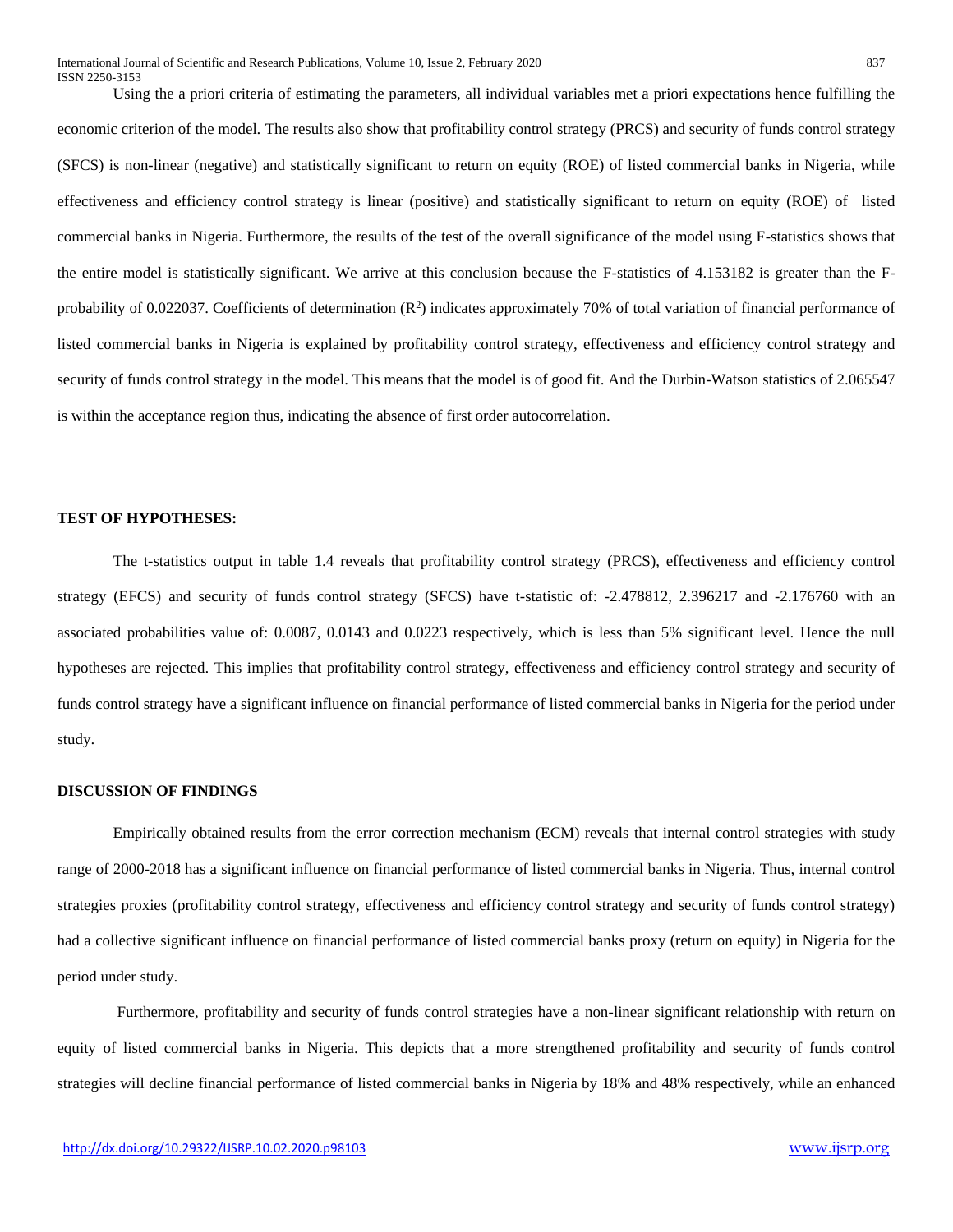Using the a priori criteria of estimating the parameters, all individual variables met a priori expectations hence fulfilling the economic criterion of the model. The results also show that profitability control strategy (PRCS) and security of funds control strategy (SFCS) is non-linear (negative) and statistically significant to return on equity (ROE) of listed commercial banks in Nigeria, while effectiveness and efficiency control strategy is linear (positive) and statistically significant to return on equity (ROE) of listed commercial banks in Nigeria. Furthermore, the results of the test of the overall significance of the model using F-statistics shows that the entire model is statistically significant. We arrive at this conclusion because the F-statistics of 4.153182 is greater than the Fprobability of 0.022037. Coefficients of determination  $(R^2)$  indicates approximately 70% of total variation of financial performance of listed commercial banks in Nigeria is explained by profitability control strategy, effectiveness and efficiency control strategy and security of funds control strategy in the model. This means that the model is of good fit. And the Durbin-Watson statistics of 2.065547 is within the acceptance region thus, indicating the absence of first order autocorrelation.

## **TEST OF HYPOTHESES:**

The t-statistics output in table 1.4 reveals that profitability control strategy (PRCS), effectiveness and efficiency control strategy (EFCS) and security of funds control strategy (SFCS) have t-statistic of: -2.478812, 2.396217 and -2.176760 with an associated probabilities value of: 0.0087, 0.0143 and 0.0223 respectively, which is less than 5% significant level. Hence the null hypotheses are rejected. This implies that profitability control strategy, effectiveness and efficiency control strategy and security of funds control strategy have a significant influence on financial performance of listed commercial banks in Nigeria for the period under study.

## **DISCUSSION OF FINDINGS**

Empirically obtained results from the error correction mechanism (ECM) reveals that internal control strategies with study range of 2000-2018 has a significant influence on financial performance of listed commercial banks in Nigeria. Thus, internal control strategies proxies (profitability control strategy, effectiveness and efficiency control strategy and security of funds control strategy) had a collective significant influence on financial performance of listed commercial banks proxy (return on equity) in Nigeria for the period under study.

Furthermore, profitability and security of funds control strategies have a non-linear significant relationship with return on equity of listed commercial banks in Nigeria. This depicts that a more strengthened profitability and security of funds control strategies will decline financial performance of listed commercial banks in Nigeria by 18% and 48% respectively, while an enhanced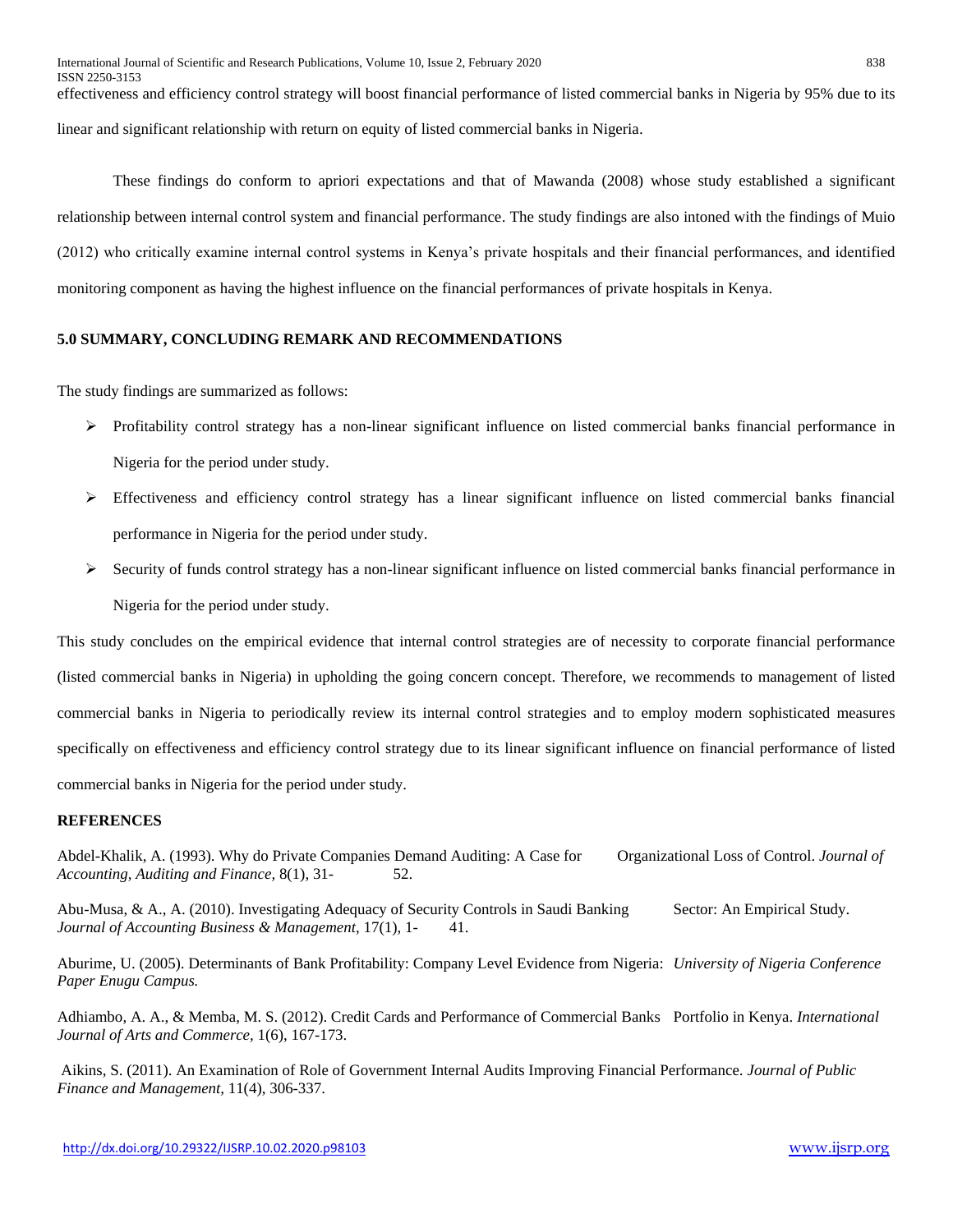effectiveness and efficiency control strategy will boost financial performance of listed commercial banks in Nigeria by 95% due to its linear and significant relationship with return on equity of listed commercial banks in Nigeria.

These findings do conform to apriori expectations and that of Mawanda (2008) whose study established a significant relationship between internal control system and financial performance. The study findings are also intoned with the findings of Muio (2012) who critically examine internal control systems in Kenya's private hospitals and their financial performances, and identified monitoring component as having the highest influence on the financial performances of private hospitals in Kenya.

## **5.0 SUMMARY, CONCLUDING REMARK AND RECOMMENDATIONS**

The study findings are summarized as follows:

- $\triangleright$  Profitability control strategy has a non-linear significant influence on listed commercial banks financial performance in Nigeria for the period under study.
- $\triangleright$  Effectiveness and efficiency control strategy has a linear significant influence on listed commercial banks financial performance in Nigeria for the period under study.
- $\triangleright$  Security of funds control strategy has a non-linear significant influence on listed commercial banks financial performance in Nigeria for the period under study.

This study concludes on the empirical evidence that internal control strategies are of necessity to corporate financial performance (listed commercial banks in Nigeria) in upholding the going concern concept. Therefore, we recommends to management of listed commercial banks in Nigeria to periodically review its internal control strategies and to employ modern sophisticated measures specifically on effectiveness and efficiency control strategy due to its linear significant influence on financial performance of listed commercial banks in Nigeria for the period under study.

## **REFERENCES**

Abdel-Khalik, A. (1993). Why do Private Companies Demand Auditing: A Case for Organizational Loss of Control. *Journal of Accounting, Auditing and Finance,* 8(1), 31- 52.

Abu-Musa, & A., A. (2010). Investigating Adequacy of Security Controls in Saudi Banking Sector: An Empirical Study. *Journal of Accounting Business & Management,* 17(1), 1- 41.

Aburime, U. (2005). Determinants of Bank Profitability: Company Level Evidence from Nigeria: *University of Nigeria Conference Paper Enugu Campus.* 

Adhiambo, A. A., & Memba, M. S. (2012). Credit Cards and Performance of Commercial Banks Portfolio in Kenya. *International Journal of Arts and Commerce,* 1(6), 167-173.

Aikins, S. (2011). An Examination of Role of Government Internal Audits Improving Financial Performance. *Journal of Public Finance and Management,* 11(4), 306-337.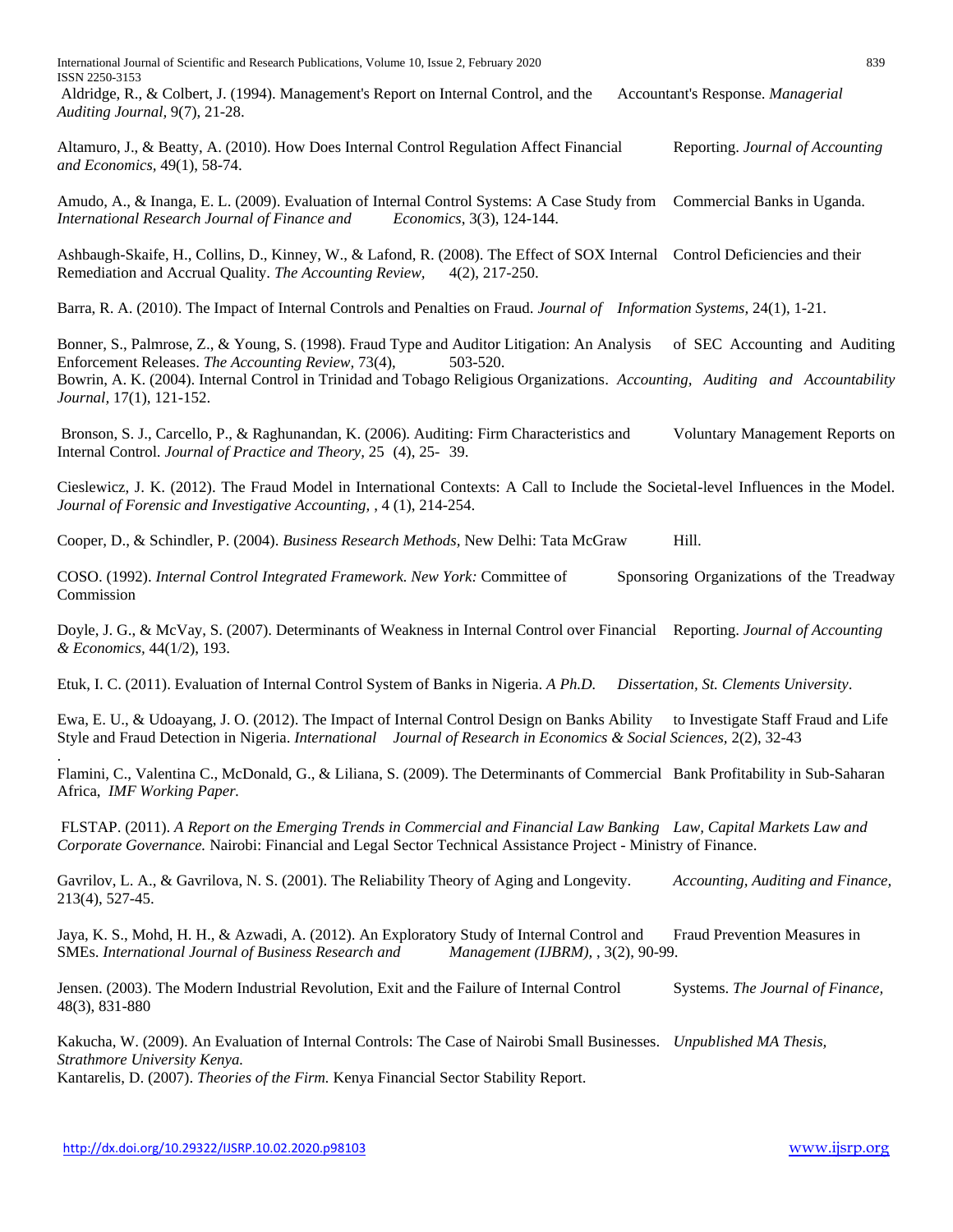International Journal of Scientific and Research Publications, Volume 10, Issue 2, February 2020 839 ISSN 2250-3153

Aldridge, R., & Colbert, J. (1994). Management's Report on Internal Control, and the Accountant's Response. *Managerial Auditing Journal,* 9(7), 21-28.

Altamuro, J., & Beatty, A. (2010). How Does Internal Control Regulation Affect Financial Reporting. *Journal of Accounting and Economics,* 49(1), 58-74.

Amudo, A., & Inanga, E. L. (2009). Evaluation of Internal Control Systems: A Case Study from Commercial Banks in Uganda. *International Research Journal of Finance and Economics*, 3(3), 124-144.

Ashbaugh-Skaife, H., Collins, D., Kinney, W., & Lafond, R. (2008). The Effect of SOX Internal Control Deficiencies and their Remediation and Accrual Quality. *The Accounting Review,* 4(2), 217-250.

Barra, R. A. (2010). The Impact of Internal Controls and Penalties on Fraud. *Journal of Information Systems,* 24(1), 1-21.

Bonner, S., Palmrose, Z., & Young, S. (1998). Fraud Type and Auditor Litigation: An Analysis of SEC Accounting and Auditing Enforcement Releases. *The Accounting Review*, 73(4), 503-520. Bowrin, A. K. (2004). Internal Control in Trinidad and Tobago Religious Organizations. *Accounting, Auditing and Accountability Journal,* 17(1), 121-152.

Bronson, S. J., Carcello, P., & Raghunandan, K. (2006). Auditing: Firm Characteristics and Voluntary Management Reports on Internal Control. *Journal of Practice and Theory,* 25 (4), 25- 39.

Cieslewicz, J. K. (2012). The Fraud Model in International Contexts: A Call to Include the Societal-level Influences in the Model. *Journal of Forensic and Investigative Accounting,* , 4 (1), 214-254.

Cooper, D., & Schindler, P. (2004). *Business Research Methods,* New Delhi: Tata McGraw Hill.

COSO. (1992). *Internal Control Integrated Framework. New York:* Committee of Sponsoring Organizations of the Treadway Commission

Doyle, J. G., & McVay, S. (2007). Determinants of Weakness in Internal Control over Financial Reporting. *Journal of Accounting & Economics,* 44(1/2), 193.

Etuk, I. C. (2011). Evaluation of Internal Control System of Banks in Nigeria. *A Ph.D. Dissertation, St. Clements University*.

Ewa, E. U., & Udoayang, J. O. (2012). The Impact of Internal Control Design on Banks Ability to Investigate Staff Fraud and Life Style and Fraud Detection in Nigeria. *International Journal of Research in Economics & Social Sciences,* 2(2), 32-43

Flamini, C., Valentina C., McDonald, G., & Liliana, S. (2009). The Determinants of Commercial Bank Profitability in Sub-Saharan Africa, *IMF Working Paper.*

FLSTAP. (2011). *A Report on the Emerging Trends in Commercial and Financial Law Banking Law, Capital Markets Law and Corporate Governance.* Nairobi: Financial and Legal Sector Technical Assistance Project - Ministry of Finance.

Gavrilov, L. A., & Gavrilova, N. S. (2001). The Reliability Theory of Aging and Longevity. *Accounting, Auditing and Finance,*  213(4), 527-45.

Jaya, K. S., Mohd, H. H., & Azwadi, A. (2012). An Exploratory Study of Internal Control and Fraud Prevention Measures in SMEs. *International Journal of Business Research and Management (IJBRM),* , 3(2), 90-99.

Jensen. (2003). The Modern Industrial Revolution, Exit and the Failure of Internal Control Systems. *The Journal of Finance,* 48(3), 831-880

Kakucha, W. (2009). An Evaluation of Internal Controls: The Case of Nairobi Small Businesses. *Unpublished MA Thesis, Strathmore University Kenya.* 

Kantarelis, D. (2007). *Theories of the Firm.* Kenya Financial Sector Stability Report.

.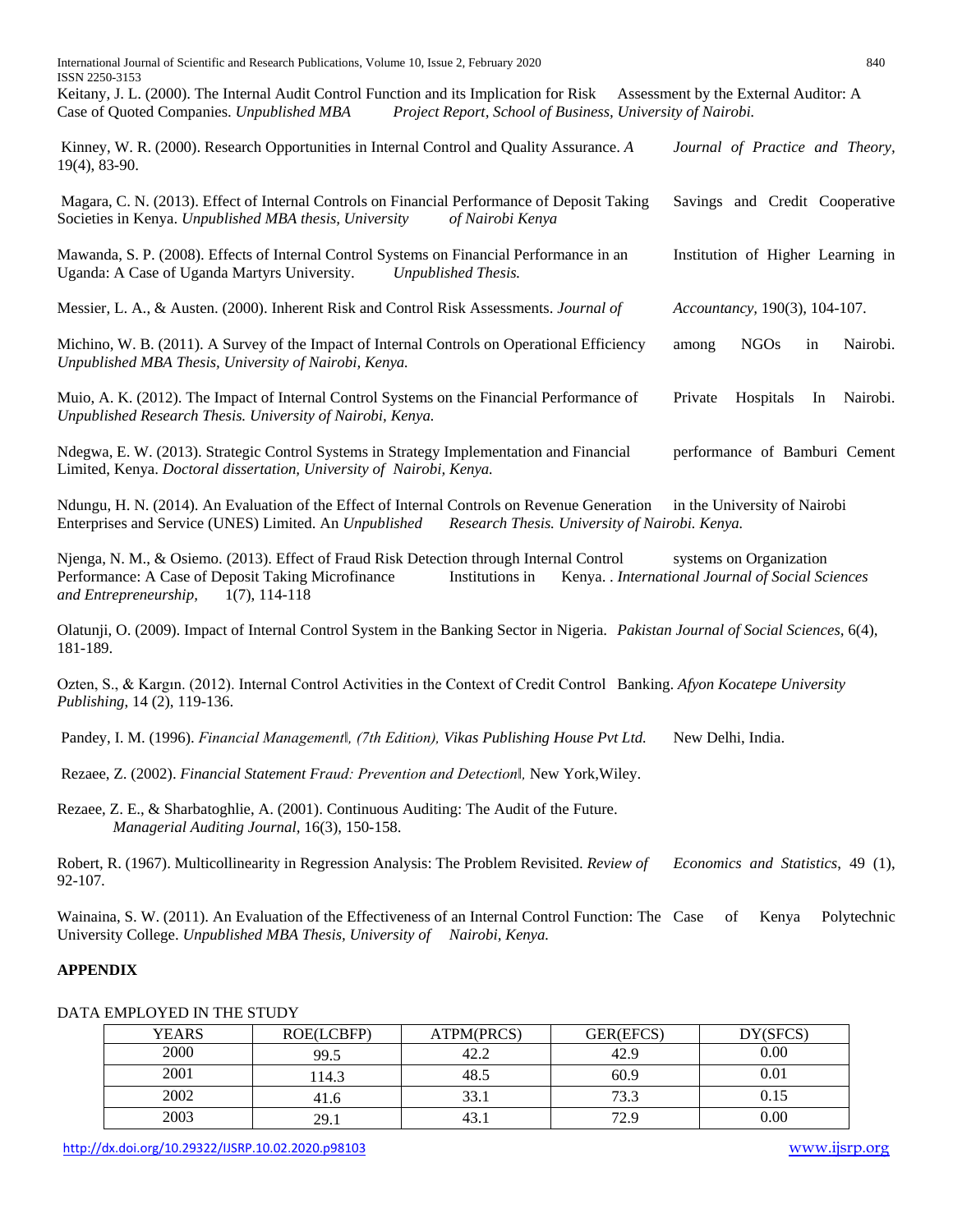International Journal of Scientific and Research Publications, Volume 10, Issue 2, February 2020 840 ISSN 2250-3153

Keitany, J. L. (2000). The Internal Audit Control Function and its Implication for Risk Assessment by the External Auditor: A Case of Quoted Companies. *Unpublished MBA Project Report, School of Business, University of Nairobi.* 

Kinney, W. R. (2000). Research Opportunities in Internal Control and Quality Assurance. *A Journal of Practice and Theory,*  19(4), 83-90.

Magara, C. N. (2013). Effect of Internal Controls on Financial Performance of Deposit Taking Savings and Credit Cooperative Societies in Kenya. *Unpublished MBA thesis, University of Nairobi Kenya*

Mawanda, S. P. (2008). Effects of Internal Control Systems on Financial Performance in an Institution of Higher Learning in Uganda: A Case of Uganda Martyrs University. *Unpublished Thesis.*

Messier, L. A., & Austen. (2000). Inherent Risk and Control Risk Assessments. *Journal of Accountancy,* 190(3), 104-107.

Michino, W. B. (2011). A Survey of the Impact of Internal Controls on Operational Efficiency among NGOs in Nairobi. *Unpublished MBA Thesis, University of Nairobi, Kenya.*

Muio, A. K. (2012). The Impact of Internal Control Systems on the Financial Performance of Private Hospitals In Nairobi. *Unpublished Research Thesis. University of Nairobi, Kenya.*

Ndegwa, E. W. (2013). Strategic Control Systems in Strategy Implementation and Financial performance of Bamburi Cement Limited, Kenya. *Doctoral dissertation, University of Nairobi, Kenya.*

Ndungu, H. N. (2014). An Evaluation of the Effect of Internal Controls on Revenue Generation in the University of Nairobi Enterprises and Service (UNES) Limited. An *Unpublished Research Thesis. University of Nairobi. Kenya.*

Njenga, N. M., & Osiemo. (2013). Effect of Fraud Risk Detection through Internal Control systems on Organization Performance: A Case of Deposit Taking Microfinance Institutions in Kenya. . *International Journal of Social Sciences and Entrepreneurship,* 1(7), 114-118

Olatunji, O. (2009). Impact of Internal Control System in the Banking Sector in Nigeria. *Pakistan Journal of Social Sciences,* 6(4), 181-189.

Ozten, S., & Kargın. (2012). Internal Control Activities in the Context of Credit Control Banking. *Afyon Kocatepe University Publishing*, 14 (2), 119-136.

Pandey, I. M. (1996). *Financial Management‖, (7th Edition), Vikas Publishing House Pvt Ltd.* New Delhi, India.

Rezaee, Z. (2002). *Financial Statement Fraud: Prevention and Detection‖,* New York,Wiley.

Rezaee, Z. E., & Sharbatoghlie, A. (2001). Continuous Auditing: The Audit of the Future. *Managerial Auditing Journal,* 16(3), 150-158.

Robert, R. (1967). Multicollinearity in Regression Analysis: The Problem Revisited. *Review of Economics and Statistics*, 49 (1), 92-107.

Wainaina, S. W. (2011). An Evaluation of the Effectiveness of an Internal Control Function: The Case of Kenya Polytechnic University College. *Unpublished MBA Thesis, University of Nairobi, Kenya.* 

## **APPENDIX**

|  | DATA EMPLOYED IN THE STUDY |  |  |
|--|----------------------------|--|--|
|--|----------------------------|--|--|

| <b>YEARS</b> | ROE(LCBFP) | ATPM(PRCS)      | GER(EFCS) | DY(SFCS) |
|--------------|------------|-----------------|-----------|----------|
| 2000         | 99.5       | 42.2            | 42.9      | 0.00     |
| 2001         | 14.3       | 48.5            | 60.9      | 0.01     |
| 2002         | 41.6       | 33 <sup>2</sup> | 73.3      | 0.15     |
| 2003         | 29.1       | 43.             | 72.9      | 0.00     |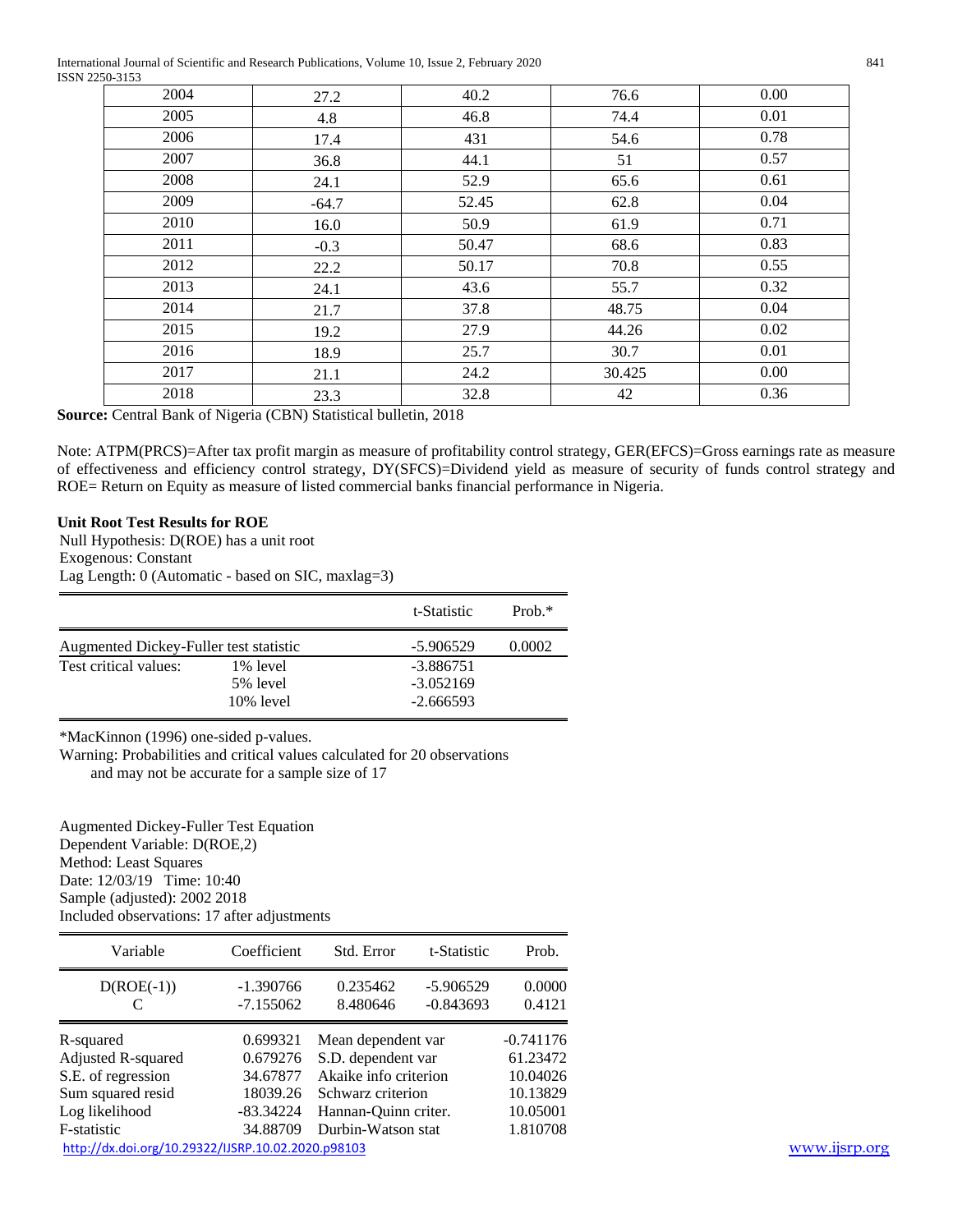International Journal of Scientific and Research Publications, Volume 10, Issue 2, February 2020 841 ISSN 2250-3153

| .    |         |       |        |      |
|------|---------|-------|--------|------|
| 2004 | 27.2    | 40.2  | 76.6   | 0.00 |
| 2005 | 4.8     | 46.8  | 74.4   | 0.01 |
| 2006 | 17.4    | 431   | 54.6   | 0.78 |
| 2007 | 36.8    | 44.1  | 51     | 0.57 |
| 2008 | 24.1    | 52.9  | 65.6   | 0.61 |
| 2009 | $-64.7$ | 52.45 | 62.8   | 0.04 |
| 2010 | 16.0    | 50.9  | 61.9   | 0.71 |
| 2011 | $-0.3$  | 50.47 | 68.6   | 0.83 |
| 2012 | 22.2    | 50.17 | 70.8   | 0.55 |
| 2013 | 24.1    | 43.6  | 55.7   | 0.32 |
| 2014 | 21.7    | 37.8  | 48.75  | 0.04 |
| 2015 | 19.2    | 27.9  | 44.26  | 0.02 |
| 2016 | 18.9    | 25.7  | 30.7   | 0.01 |
| 2017 | 21.1    | 24.2  | 30.425 | 0.00 |
| 2018 | 23.3    | 32.8  | 42     | 0.36 |
|      |         |       |        |      |

**Source:** Central Bank of Nigeria (CBN) Statistical bulletin, 2018

Note: ATPM(PRCS)=After tax profit margin as measure of profitability control strategy, GER(EFCS)=Gross earnings rate as measure of effectiveness and efficiency control strategy, DY(SFCS)=Dividend yield as measure of security of funds control strategy and ROE= Return on Equity as measure of listed commercial banks financial performance in Nigeria.

## **Unit Root Test Results for ROE**

Null Hypothesis: D(ROE) has a unit root Exogenous: Constant Lag Length: 0 (Automatic - based on SIC, maxlag=3)

|                                        |              | t-Statistic | $Prob.*$ |
|----------------------------------------|--------------|-------------|----------|
| Augmented Dickey-Fuller test statistic |              | $-5.906529$ | 0.0002   |
| Test critical values:                  | 1% level     | $-3.886751$ |          |
|                                        | 5% level     | $-3.052169$ |          |
|                                        | $10\%$ level | $-2.666593$ |          |

\*MacKinnon (1996) one-sided p-values.

Warning: Probabilities and critical values calculated for 20 observations

and may not be accurate for a sample size of 17

Augmented Dickey-Fuller Test Equation Dependent Variable: D(ROE,2) Method: Least Squares Date: 12/03/19 Time: 10:40 Sample (adjusted): 2002 2018 Included observations: 17 after adjustments

| Variable                                           | Coefficient                | Std. Error            | t-Statistic                | Prob.            |
|----------------------------------------------------|----------------------------|-----------------------|----------------------------|------------------|
| $D(ROE(-1))$                                       | $-1.390766$<br>$-7.155062$ | 0.235462<br>8.480646  | $-5.906529$<br>$-0.843693$ | 0.0000<br>0.4121 |
| R-squared                                          | 0.699321                   | Mean dependent var    |                            | $-0.741176$      |
| Adjusted R-squared                                 | 0.679276                   | S.D. dependent var    |                            | 61.23472         |
| S.E. of regression                                 | 34.67877                   | Akaike info criterion |                            | 10.04026         |
| Sum squared resid                                  | 18039.26                   | Schwarz criterion     |                            | 10.13829         |
| Log likelihood                                     | $-83.34224$                | Hannan-Quinn criter.  |                            | 10.05001         |
| F-statistic                                        | 34.88709                   | Durbin-Watson stat    |                            | 1.810708         |
| http://dx.doi.org/10.29322/IJSRP.10.02.2020.p98103 |                            |                       |                            |                  |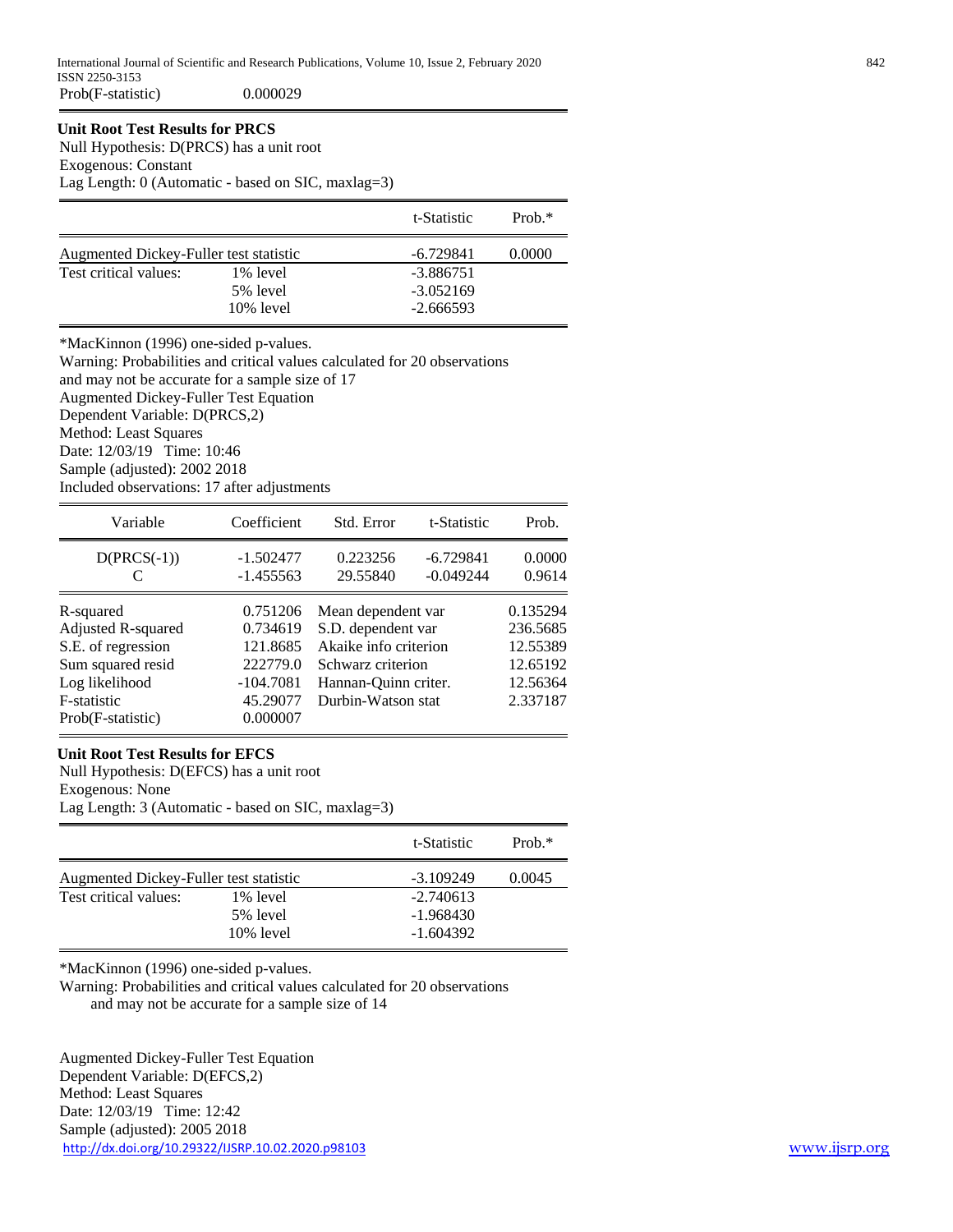# **Unit Root Test Results for PRCS**

Null Hypothesis: D(PRCS) has a unit root

Exogenous: Constant

Lag Length: 0 (Automatic - based on SIC, maxlag=3)

|                                        |              | t-Statistic | Prob. $*$ |
|----------------------------------------|--------------|-------------|-----------|
| Augmented Dickey-Fuller test statistic |              | -6.729841   | 0.0000    |
| Test critical values:                  | 1% level     | $-3.886751$ |           |
|                                        | 5% level     | $-3.052169$ |           |
|                                        | $10\%$ level | $-2.666593$ |           |

\*MacKinnon (1996) one-sided p-values.

Warning: Probabilities and critical values calculated for 20 observations and may not be accurate for a sample size of 17 Augmented Dickey-Fuller Test Equation Dependent Variable: D(PRCS,2) Method: Least Squares Date: 12/03/19 Time: 10:46 Sample (adjusted): 2002 2018 Included observations: 17 after adjustments

| Variable                                                                                                                         | Coefficient                                                                         | Std. Error                                                                                                                           | t-Statistic                | Prob.                                                                |
|----------------------------------------------------------------------------------------------------------------------------------|-------------------------------------------------------------------------------------|--------------------------------------------------------------------------------------------------------------------------------------|----------------------------|----------------------------------------------------------------------|
| $D(PRCS(-1))$                                                                                                                    | $-1.502477$<br>$-1.455563$                                                          | 0.223256<br>29.55840                                                                                                                 | $-6.729841$<br>$-0.049244$ | 0.0000<br>0.9614                                                     |
| R-squared<br>Adjusted R-squared<br>S.E. of regression<br>Sum squared resid<br>Log likelihood<br>F-statistic<br>Prob(F-statistic) | 0.751206<br>0.734619<br>121.8685<br>222779.0<br>$-104.7081$<br>45.29077<br>0.000007 | Mean dependent var<br>S.D. dependent var<br>Akaike info criterion<br>Schwarz criterion<br>Hannan-Quinn criter.<br>Durbin-Watson stat |                            | 0.135294<br>236.5685<br>12.55389<br>12.65192<br>12.56364<br>2.337187 |

## **Unit Root Test Results for EFCS**

Null Hypothesis: D(EFCS) has a unit root Exogenous: None Lag Length: 3 (Automatic - based on SIC, maxlag=3)

|                                        |              | t-Statistic | $Prob.*$ |
|----------------------------------------|--------------|-------------|----------|
| Augmented Dickey-Fuller test statistic |              | -3.109249   | 0.0045   |
| Test critical values:                  | 1% level     | $-2.740613$ |          |
|                                        | 5% level     | $-1.968430$ |          |
|                                        | $10\%$ level | $-1.604392$ |          |

\*MacKinnon (1996) one-sided p-values.

Warning: Probabilities and critical values calculated for 20 observations and may not be accurate for a sample size of 14

<http://dx.doi.org/10.29322/IJSRP.10.02.2020.p98103> [www.ijsrp.org](http://ijsrp.org/) Augmented Dickey-Fuller Test Equation Dependent Variable: D(EFCS,2) Method: Least Squares Date: 12/03/19 Time: 12:42 Sample (adjusted): 2005 2018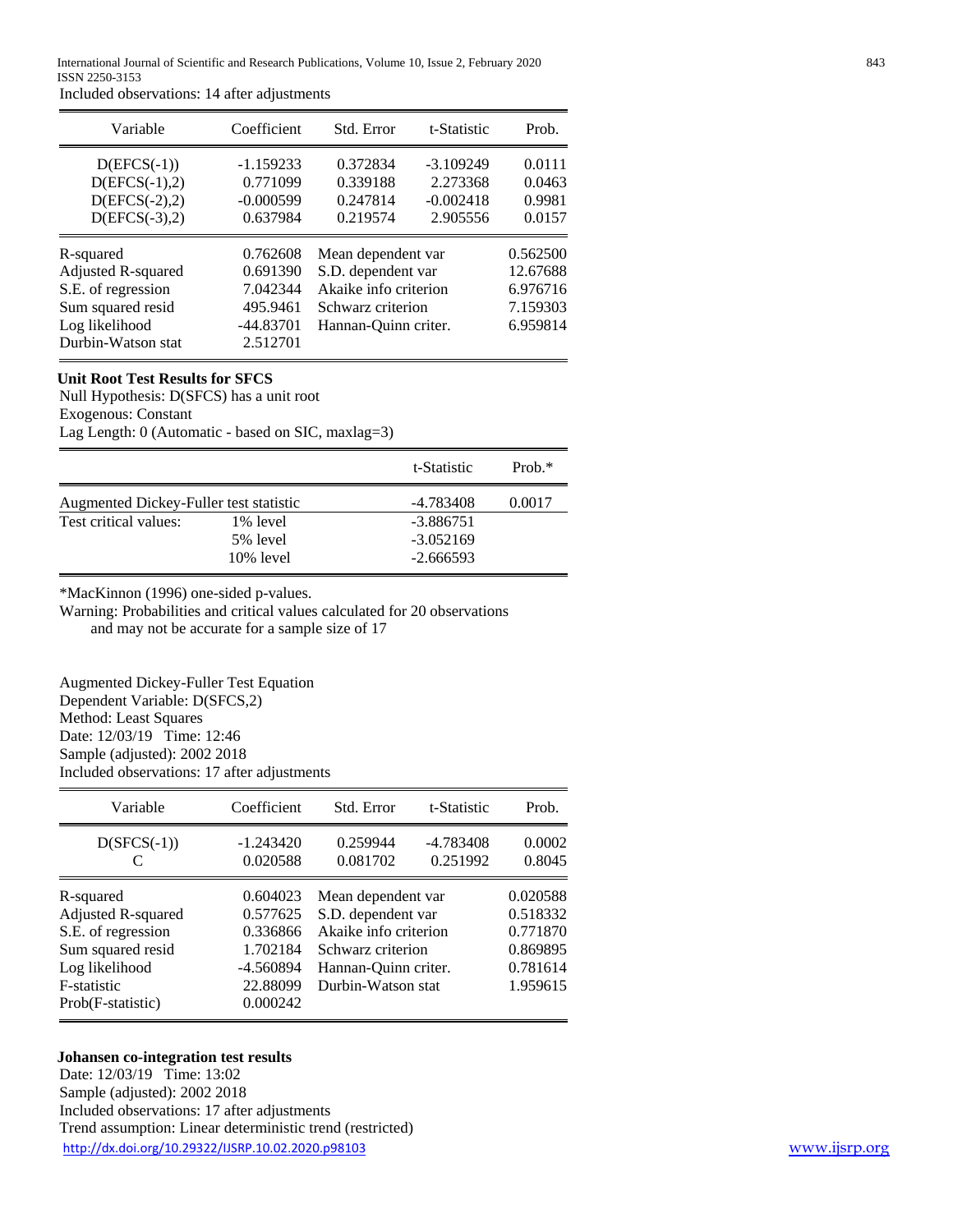Included observations: 14 after adjustments

| Variable                                                                                                           | Coefficient                                                             | Std. Error                                                                                                     | t-Statistic                                        | Prob.                                                    |
|--------------------------------------------------------------------------------------------------------------------|-------------------------------------------------------------------------|----------------------------------------------------------------------------------------------------------------|----------------------------------------------------|----------------------------------------------------------|
| $D(EFCS(-1))$<br>$D(EFCS(-1),2)$<br>$D(EFCS(-2),2)$<br>$D(EFCS(-3),2)$                                             | $-1.159233$<br>0.771099<br>$-0.000599$<br>0.637984                      | 0.372834<br>0.339188<br>0.247814<br>0.219574                                                                   | $-3.109249$<br>2.273368<br>$-0.002418$<br>2.905556 | 0.0111<br>0.0463<br>0.9981<br>0.0157                     |
| R-squared<br>Adjusted R-squared<br>S.E. of regression<br>Sum squared resid<br>Log likelihood<br>Durbin-Watson stat | 0.762608<br>0.691390<br>7.042344<br>495.9461<br>$-44.83701$<br>2.512701 | Mean dependent var<br>S.D. dependent var<br>Akaike info criterion<br>Schwarz criterion<br>Hannan-Ouinn criter. |                                                    | 0.562500<br>12.67688<br>6.976716<br>7.159303<br>6.959814 |

# **Unit Root Test Results for SFCS**

Null Hypothesis: D(SFCS) has a unit root Exogenous: Constant

Lag Length: 0 (Automatic - based on SIC, maxlag=3)

|                                        |                      | t-Statistic                | $Prob.*$ |
|----------------------------------------|----------------------|----------------------------|----------|
| Augmented Dickey-Fuller test statistic |                      | -4.783408                  | 0.0017   |
| Test critical values:                  | 1% level<br>5% level | $-3.886751$<br>$-3.052169$ |          |
|                                        | $10\%$ level         | $-2.666593$                |          |

\*MacKinnon (1996) one-sided p-values.

Warning: Probabilities and critical values calculated for 20 observations and may not be accurate for a sample size of 17

Augmented Dickey-Fuller Test Equation Dependent Variable: D(SFCS,2) Method: Least Squares Date: 12/03/19 Time: 12:46 Sample (adjusted): 2002 2018 Included observations: 17 after adjustments

| t-Statistic<br>Prob.                                                                                                                                              |
|-------------------------------------------------------------------------------------------------------------------------------------------------------------------|
|                                                                                                                                                                   |
| $-4.783408$<br>0.0002<br>0.251992<br>0.8045                                                                                                                       |
| 0.020588<br>Mean dependent var<br>0.518332<br>Akaike info criterion<br>0.771870<br>0.869895<br>0.781614<br>Hannan-Quinn criter.<br>Durbin-Watson stat<br>1.959615 |
|                                                                                                                                                                   |
| S.D. dependent var                                                                                                                                                |

## **Johansen co-integration test results**

<http://dx.doi.org/10.29322/IJSRP.10.02.2020.p98103> [www.ijsrp.org](http://ijsrp.org/) Date: 12/03/19 Time: 13:02 Sample (adjusted): 2002 2018 Included observations: 17 after adjustments Trend assumption: Linear deterministic trend (restricted)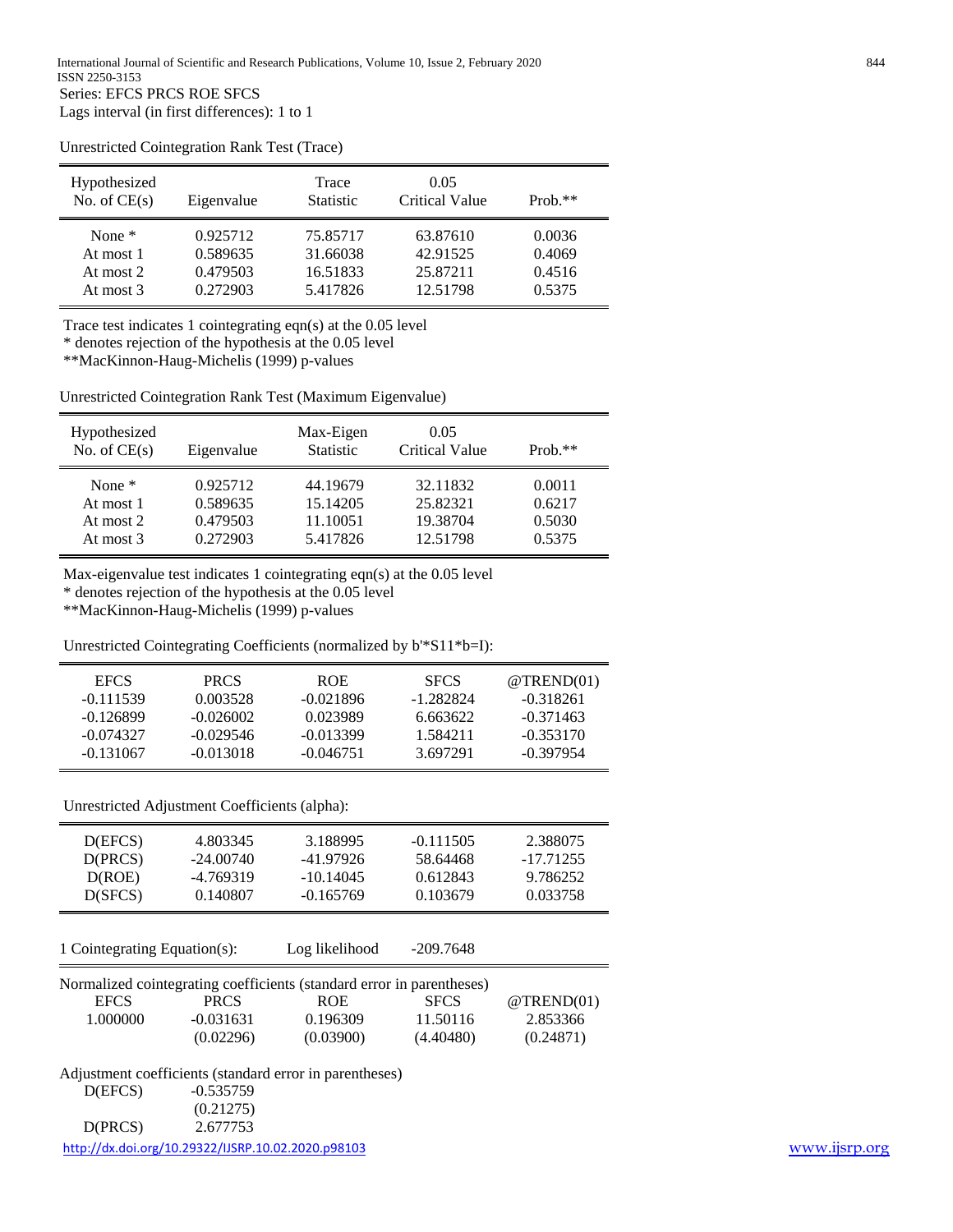| Hypothesized<br>No. of $CE(s)$ | Eigenvalue | Trace<br><b>Statistic</b> | 0.05<br><b>Critical Value</b> | $Prob.**$ |
|--------------------------------|------------|---------------------------|-------------------------------|-----------|
| None $*$                       | 0.925712   | 75.85717                  | 63.87610                      | 0.0036    |
| At most 1                      | 0.589635   | 31.66038                  | 42.91525                      | 0.4069    |
| At most 2                      | 0.479503   | 16.51833                  | 25.87211                      | 0.4516    |
| At most $3$                    | 0.272903   | 5.417826                  | 12.51798                      | 0.5375    |

Unrestricted Cointegration Rank Test (Trace)

Trace test indicates 1 cointegrating eqn(s) at the 0.05 level

\* denotes rejection of the hypothesis at the 0.05 level

\*\*MacKinnon-Haug-Michelis (1999) p-values

Unrestricted Cointegration Rank Test (Maximum Eigenvalue)

| Hypothesized<br>No. of $CE(s)$ | Eigenvalue | Max-Eigen<br><b>Statistic</b> | 0.05<br>Critical Value | $Prob.**$ |
|--------------------------------|------------|-------------------------------|------------------------|-----------|
| None $*$                       | 0.925712   | 44.19679                      | 32.11832               | 0.0011    |
| At most 1                      | 0.589635   | 15.14205                      | 25.82321               | 0.6217    |
| At most 2                      | 0.479503   | 11.10051                      | 19.38704               | 0.5030    |
| At most 3                      | 0.272903   | 5.417826                      | 12.51798               | 0.5375    |

Max-eigenvalue test indicates 1 cointegrating eqn(s) at the 0.05 level

\* denotes rejection of the hypothesis at the 0.05 level

\*\*MacKinnon-Haug-Michelis (1999) p-values

Unrestricted Cointegrating Coefficients (normalized by b'\*S11\*b=I):

| <b>EFCS</b> | <b>PRCS</b> | <b>ROE</b>  | <b>SFCS</b> | $@$ TREND $(01)$ |
|-------------|-------------|-------------|-------------|------------------|
| $-0.111539$ | 0.003528    | $-0.021896$ | -1.282824   | $-0.318261$      |
| $-0.126899$ | $-0.026002$ | 0.023989    | 6.663622    | $-0.371463$      |
| $-0.074327$ | $-0.029546$ | $-0.013399$ | 1.584211    | $-0.353170$      |
| $-0.131067$ | $-0.013018$ | $-0.046751$ | 3.697291    | $-0.397954$      |

Unrestricted Adjustment Coefficients (alpha):

| D(EFCS) | 4.803345    | 3.188995    | $-0.111505$ | 2.388075  |
|---------|-------------|-------------|-------------|-----------|
| D(PRCS) | $-24.00740$ | -41.97926   | 58.64468    | -17.71255 |
| D(ROE)  | -4.769319   | $-10.14045$ | 0.612843    | 9.786252  |
| D(SFCS) | 0.140807    | $-0.165769$ | 0.103679    | 0.033758  |

1 Cointegrating Equation(s): Log likelihood -209.7648

|  | g likelihood | -209.764 |
|--|--------------|----------|
|  |              |          |

| Normalized cointegrating coefficients (standard error in parentheses) |             |            |             |           |
|-----------------------------------------------------------------------|-------------|------------|-------------|-----------|
| EFCS.                                                                 | <b>PRCS</b> | <b>ROE</b> | <b>SFCS</b> | @TRED(01) |
| 1.000000                                                              | $-0.031631$ | 0.196309   | 11.50116    | 2.853366  |
|                                                                       | (0.02296)   | (0.03900)  | (4.40480)   | (0.24871) |

Adjustment coefficients (standard error in parentheses)

|         | http://dx.doi.org/10.29322/IJSRP.10.02.2020.p98103 | www.ijsrp.org |
|---------|----------------------------------------------------|---------------|
| D(PRCS) | 2.677753                                           |               |
|         | (0.21275)                                          |               |
| D(EFCS) | $-0.535759$                                        |               |